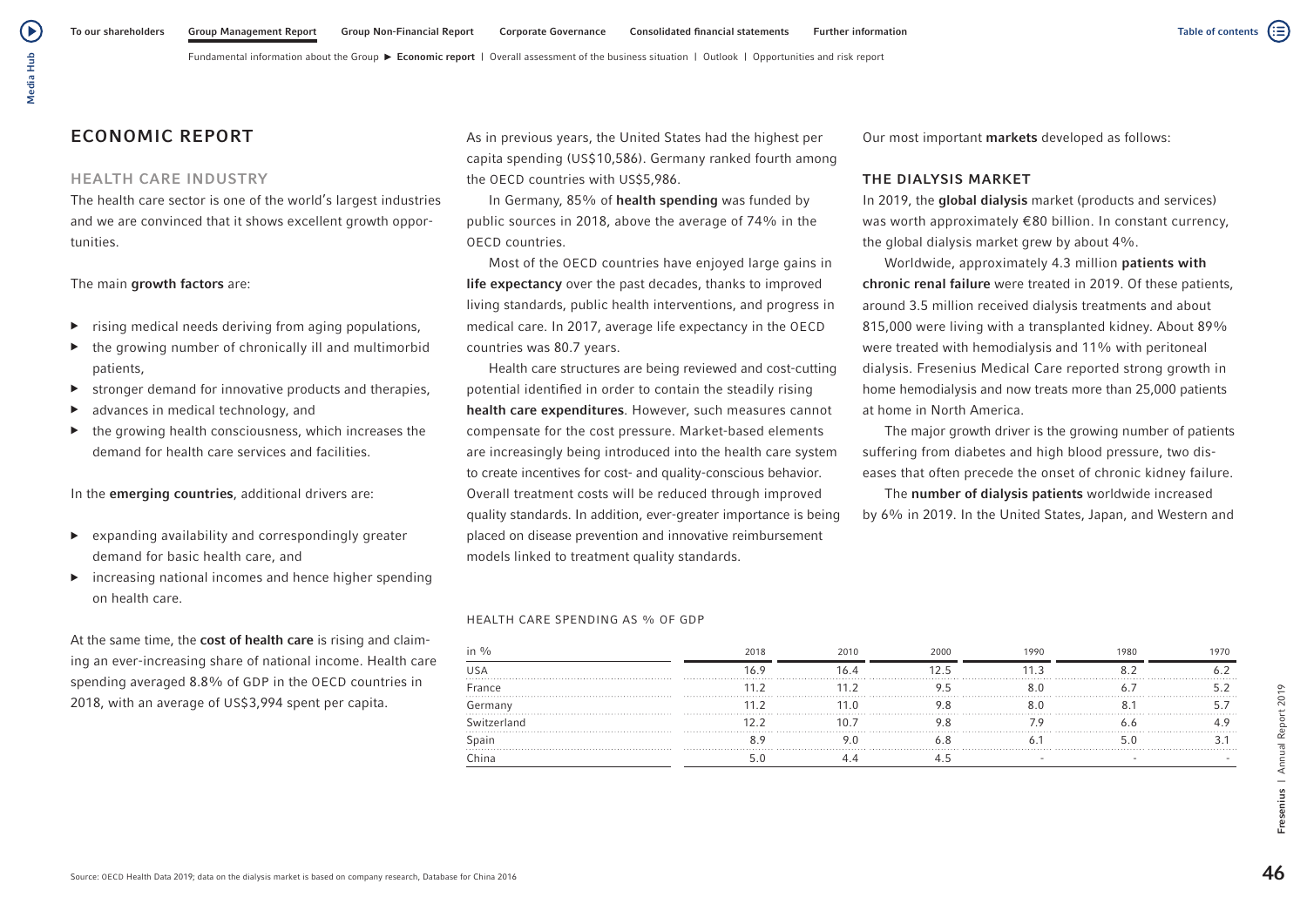# ECONOMIC REPORT

## HEALTH CARE INDUSTRY

The health care sector is one of the world's largest industries and we are convinced that it shows excellent growth opportunities.

### The main growth factors are:

- $\triangleright$  rising medical needs deriving from aging populations,
- the growing number of chronically ill and multimorbid patients,
- ▶ stronger demand for innovative products and therapies,
- advances in medical technology, and
- $\blacktriangleright$  the growing health consciousness, which increases the demand for health care services and facilities.

In the emerging countries, additional drivers are:

- ▶ expanding availability and correspondingly greater demand for basic health care, and
- $\triangleright$  increasing national incomes and hence higher spending on health care.

At the same time, the cost of health care is rising and claiming an ever-increasing share of national income. Health care spending averaged 8.8% of GDP in the OECD countries in 2018, with an average of US\$3,994 spent per capita.

As in previous years, the United States had the highest per capita spending (US\$10,586). Germany ranked fourth among the OECD countries with US\$5,986.

In Germany, 85% of health spending was funded by public sources in 2018, above the average of 74% in the OECD countries.

Most of the OECD countries have enjoyed large gains in life expectancy over the past decades, thanks to improved living standards, public health interventions, and progress in medical care. In 2017, average life expectancy in the OECD countries was 80.7 years.

Health care structures are being reviewed and cost-cutting potential identified in order to contain the steadily rising health care expenditures. However, such measures cannot compensate for the cost pressure. Market-based elements are increasingly being introduced into the health care system to create incentives for cost- and quality-conscious behavior. Overall treatment costs will be reduced through improved quality standards. In addition, ever-greater importance is being placed on disease prevention and innovative reimbursement models linked to treatment quality standards.

### HEALTH CARE SPENDING AS % OF GDP

| in %        | 2018 | 2010 | 2000 | 1990 | 1980 | 1970 |
|-------------|------|------|------|------|------|------|
| USA         |      |      |      |      |      |      |
| France      |      |      |      |      |      |      |
| Germany     |      |      |      |      |      |      |
| Switzerland |      |      |      |      |      |      |
| Spain       |      |      |      |      |      |      |
| China       |      |      |      |      |      |      |

Report 2019

Annual  $\overline{\phantom{0}}$ **Fresenius** 

Our most important markets developed as follows:

## THE DIALYSIS MARKET

In 2019, the global dialysis market (products and services) was worth approximately €80 billion. In constant currency, the global dialysis market grew by about 4%.

Worldwide, approximately 4.3 million patients with chronic renal failure were treated in 2019. Of these patients, around 3.5 million received dialysis treatments and about 815,000 were living with a transplanted kidney. About 89% were treated with hemodialysis and 11% with peritoneal dialysis. Fresenius Medical Care reported strong growth in home hemodialysis and now treats more than 25,000 patients at home in North America.

The major growth driver is the growing number of patients suffering from diabetes and high blood pressure, two diseases that often precede the onset of chronic kidney failure.

The number of dialysis patients worldwide increased by 6% in 2019. In the United States, Japan, and Western and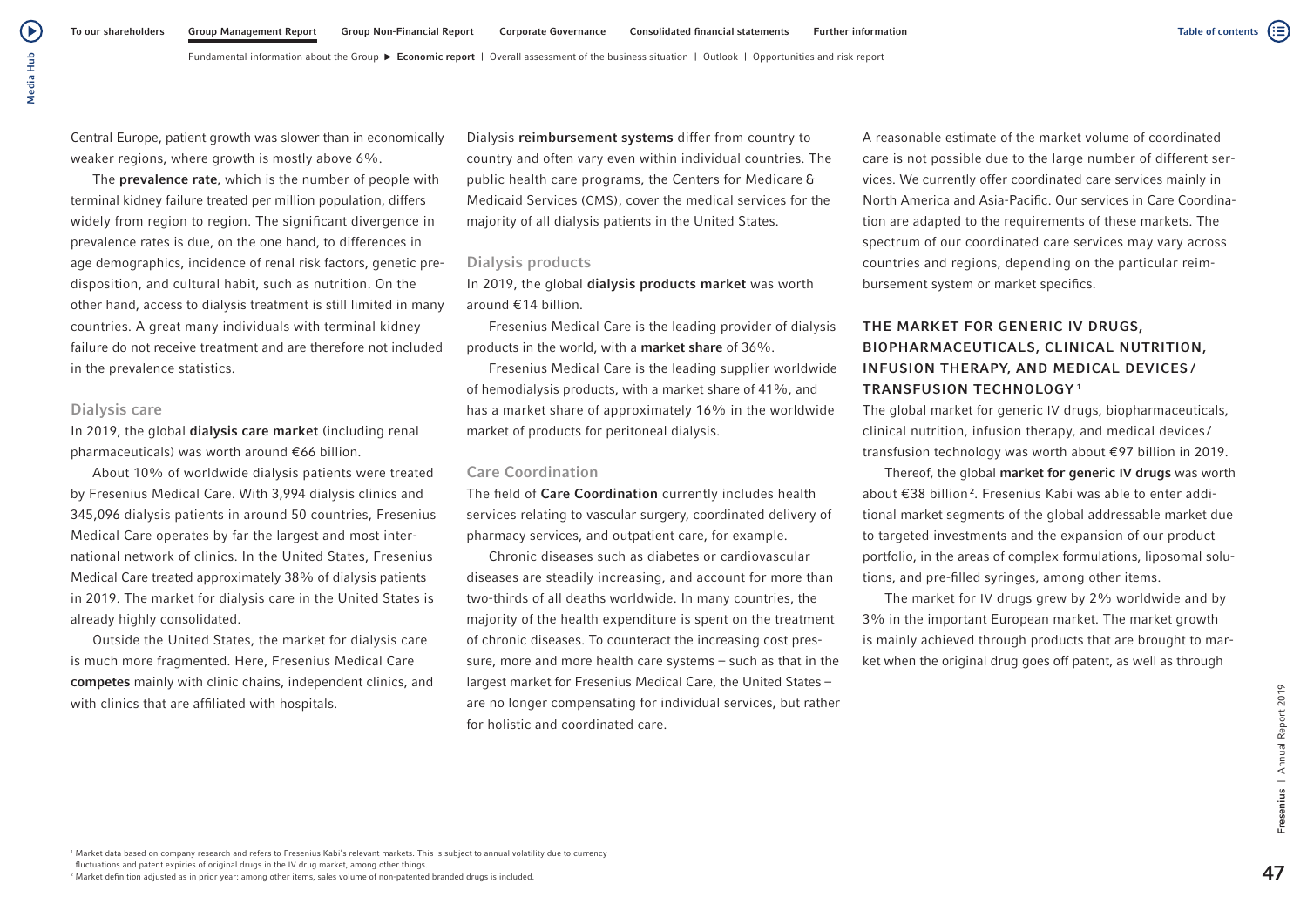Media Hub

Media Hub

(▶

The **prevalence rate**, which is the number of people with terminal kidney failure treated per million population, differs widely from region to region. The significant divergence in prevalence rates is due, on the one hand, to differences in age demographics, incidence of renal risk factors, genetic predisposition, and cultural habit, such as nutrition. On the other hand, access to dialysis treatment is still limited in many countries. A great many individuals with terminal kidney failure do not receive treatment and are therefore not included in the prevalence statistics.

## Dialysis care

In 2019, the global dialysis care market (including renal pharmaceuticals) was worth around €66 billion.

About 10% of worldwide dialysis patients were treated by Fresenius Medical Care. With 3,994 dialysis clinics and 345,096 dialysis patients in around 50 countries, Fresenius Medical Care operates by far the largest and most international network of clinics. In the United States, Fresenius Medical Care treated approximately 38% of dialysis patients in 2019. The market for dialysis care in the United States is already highly consolidated.

Outside the United States, the market for dialysis care is much more fragmented. Here, Fresenius Medical Care competes mainly with clinic chains, independent clinics, and with clinics that are affiliated with hospitals.

Dialysis reimbursement systems differ from country to country and often vary even within individual countries. The public health care programs, the Centers for Medicare & Medicaid Services (CMS), cover the medical services for the majority of all dialysis patients in the United States.

# Dialysis products

Fundamental information about the Group  $\blacktriangleright$  Economic report | Overall assessment of the business situation | Outlook | Opportunities and risk report

In 2019, the global dialysis products market was worth around €14 billion.

Fresenius Medical Care is the leading provider of dialysis products in the world, with a market share of 36%.

Fresenius Medical Care is the leading supplier worldwide of hemodialysis products, with a market share of 41%, and has a market share of approximately 16% in the worldwide market of products for peritoneal dialysis.

# Care Coordination

The field of Care Coordination currently includes health services relating to vascular surgery, coordinated delivery of pharmacy services, and outpatient care, for example.

Chronic diseases such as diabetes or cardiovascular diseases are steadily increasing, and account for more than two-thirds of all deaths worldwide. In many countries, the majority of the health expenditure is spent on the treatment of chronic diseases. To counteract the increasing cost pressure, more and more health care systems – such as that in the largest market for Fresenius Medical Care, the United States – are no longer compensating for individual services, but rather for holistic and coordinated care.

A reasonable estimate of the market volume of coordinated care is not possible due to the large number of different services. We currently offer coordinated care services mainly in North America and Asia-Pacific. Our services in Care Coordination are adapted to the requirements of these markets. The spectrum of our coordinated care services may vary across countries and regions, depending on the particular reimbursement system or market specifics.

# THE MARKET FOR GENERIC IV DRUGS, BIOPHARMACEUTICALS, CLINICAL NUTRITION, INFUSION THERAPY, AND MEDICAL DEVICES / TRANSFUSION TECHNOLOGY <sup>1</sup>

The global market for generic IV drugs, biopharmaceuticals, clinical nutrition, infusion therapy, and medical devices / transfusion technology was worth about €97 billion in 2019.

Thereof, the global market for generic IV drugs was worth about €38 billion<sup>2</sup>. Fresenius Kabi was able to enter additional market segments of the global addressable market due to targeted investments and the expansion of our product portfolio, in the areas of complex formulations, liposomal solutions, and pre-filled syringes, among other items.

The market for IV drugs grew by 2% worldwide and by 3% in the important European market. The market growth is mainly achieved through products that are brought to market when the original drug goes off patent, as well as through

47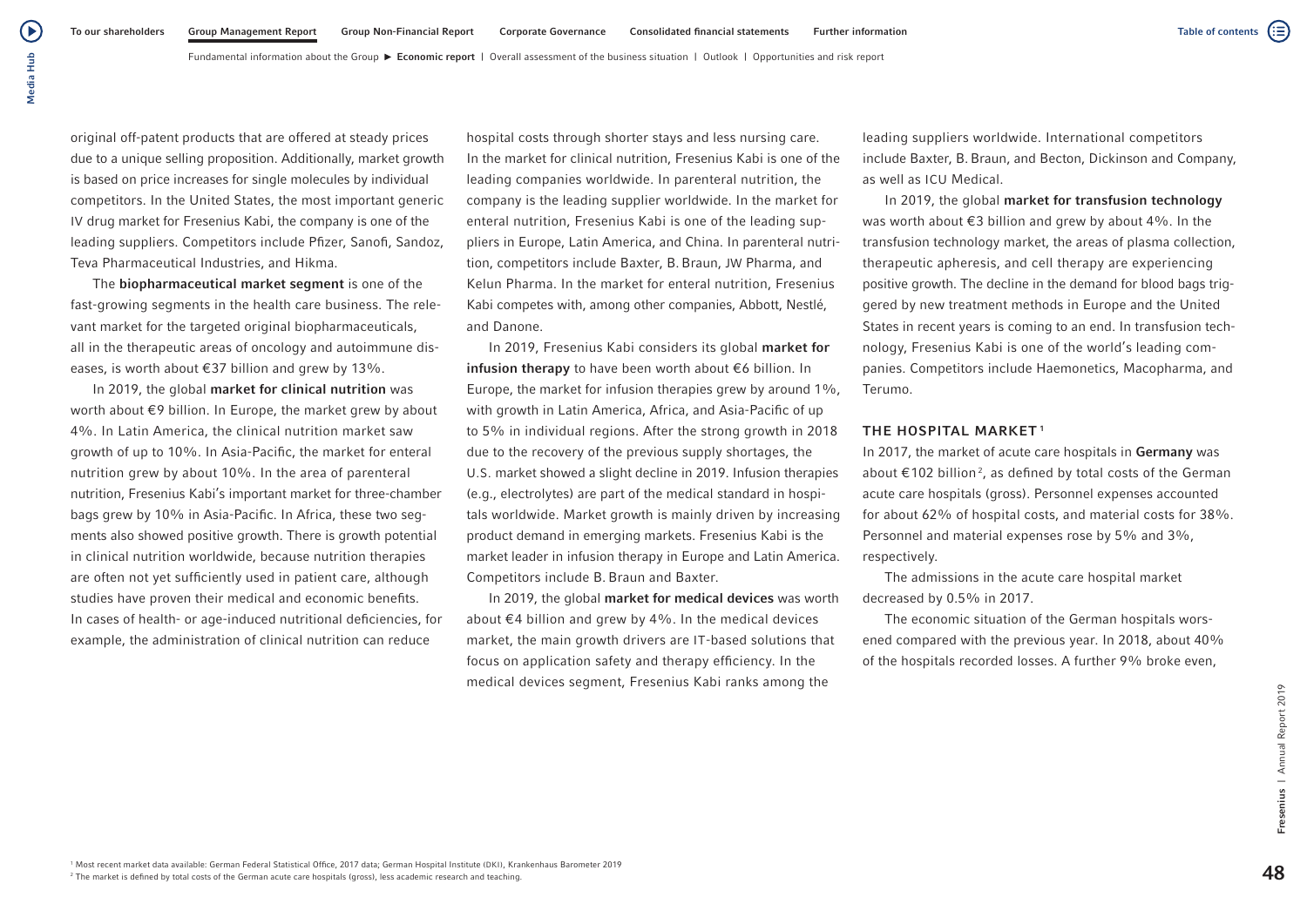Þ Media Hub Media Hub

> original off-patent products that are offered at steady prices due to a unique selling proposition. Additionally, market growth is based on price increases for single molecules by individual competitors. In the United States, the most important generic IV drug market for Fresenius Kabi, the company is one of the leading suppliers. Competitors include Pfizer, Sanofi, Sandoz, Teva Pharmaceutical Industries, and Hikma.

The biopharmaceutical market segment is one of the fast-growing segments in the health care business. The relevant market for the targeted original biopharmaceuticals, all in the therapeutic areas of oncology and autoimmune diseases, is worth about €37 billion and grew by 13%.

In 2019, the global market for clinical nutrition was worth about €9 billion. In Europe, the market grew by about 4%. In Latin America, the clinical nutrition market saw growth of up to 10%. In Asia-Pacific, the market for enteral nutrition grew by about 10%. In the area of parenteral nutrition, Fresenius Kabi's important market for three-chamber bags grew by 10% in Asia-Pacific. In Africa, these two segments also showed positive growth. There is growth potential in clinical nutrition worldwide, because nutrition therapies are often not yet sufficiently used in patient care, although studies have proven their medical and economic benefits. In cases of health- or age-induced nutritional deficiencies, for example, the administration of clinical nutrition can reduce

hospital costs through shorter stays and less nursing care. In the market for clinical nutrition, Fresenius Kabi is one of the leading companies worldwide. In parenteral nutrition, the company is the leading supplier worldwide. In the market for enteral nutrition, Fresenius Kabi is one of the leading suppliers in Europe, Latin America, and China. In parenteral nutrition, competitors include Baxter, B.Braun, JW Pharma, and Kelun Pharma. In the market for enteral nutrition, Fresenius Kabi competes with, among other companies, Abbott, Nestlé, and Danone.

In 2019, Fresenius Kabi considers its global market for infusion therapy to have been worth about €6 billion. In Europe, the market for infusion therapies grew by around 1%, with growth in Latin America, Africa, and Asia-Pacific of up to 5% in individual regions. After the strong growth in 2018 due to the recovery of the previous supply shortages, the U.S. market showed a slight decline in 2019. Infusion therapies (e.g., electrolytes) are part of the medical standard in hospitals worldwide. Market growth is mainly driven by increasing product demand in emerging markets. Fresenius Kabi is the market leader in infusion therapy in Europe and Latin America. Competitors include B. Braun and Baxter.

In 2019, the global market for medical devices was worth about €4 billion and grew by 4%. In the medical devices market, the main growth drivers are IT-based solutions that focus on application safety and therapy efficiency. In the medical devices segment, Fresenius Kabi ranks among the

leading suppliers worldwide. International competitors include Baxter, B.Braun, and Becton, Dickinson and Company, as well as ICU Medical.

In 2019, the global market for transfusion technology was worth about €3 billion and grew by about 4%. In the transfusion technology market, the areas of plasma collection, therapeutic apheresis, and cell therapy are experiencing positive growth. The decline in the demand for blood bags triggered by new treatment methods in Europe and the United States in recent years is coming to an end. In transfusion technology, Fresenius Kabi is one of the world's leading companies. Competitors include Haemonetics, Macopharma, and Terumo.

### THE HOSPITAL MARKET<sup>1</sup>

In 2017, the market of acute care hospitals in Germany was about €102 billion<sup>2</sup>, as defined by total costs of the German acute care hospitals (gross). Personnel expenses accounted for about 62% of hospital costs, and material costs for 38%. Personnel and material expenses rose by 5% and 3%, respectively.

The admissions in the acute care hospital market decreased by 0.5% in 2017.

The economic situation of the German hospitals worsened compared with the previous year. In 2018, about 40% of the hospitals recorded losses. A further 9% broke even,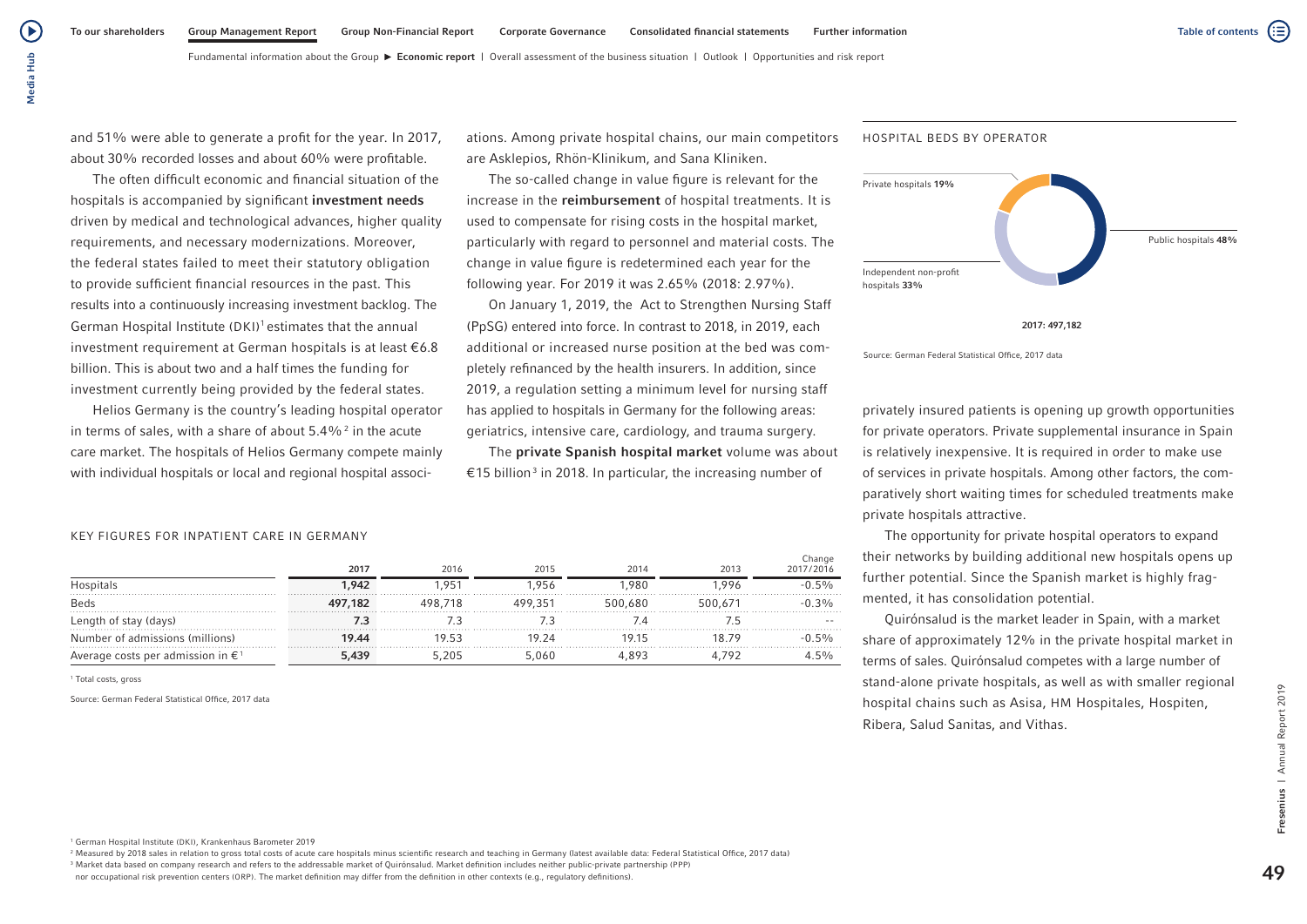and 51% were able to generate a profit for the year. In 2017, about 30% recorded losses and about 60% were profitable.

The often difficult economic and financial situation of the hospitals is accompanied by significant investment needs driven by medical and technological advances, higher quality requirements, and necessary modernizations. Moreover, the federal states failed to meet their statutory obligation to provide sufficient financial resources in the past. This results into a continuously increasing investment backlog. The German Hospital Institute (DKI)<sup>1</sup> estimates that the annual investment requirement at German hospitals is at least  $\epsilon$ 6.8 billion. This is about two and a half times the funding for investment currently being provided by the federal states.

Helios Germany is the country's leading hospital operator in terms of sales, with a share of about  $5.4\%$ <sup>2</sup> in the acute care market. The hospitals of Helios Germany compete mainly with individual hospitals or local and regional hospital associations. Among private hospital chains, our main competitors are Asklepios, Rhön-Klinikum, and Sana Kliniken.

The so-called change in value figure is relevant for the increase in the reimbursement of hospital treatments. It is used to compensate for rising costs in the hospital market, particularly with regard to personnel and material costs. The change in value figure is redetermined each year for the following year. For 2019 it was 2.65% (2018: 2.97%).

On January 1, 2019, the Act to Strengthen Nursing Staff (PpSG) entered into force. In contrast to 2018, in 2019, each additional or increased nurse position at the bed was completely refinanced by the health insurers. In addition, since 2019, a regulation setting a minimum level for nursing staff has applied to hospitals in Germany for the following areas: geriatrics, intensive care, cardiology, and trauma surgery.

The private Spanish hospital market volume was about €15 billion<sup>3</sup> in 2018. In particular, the increasing number of



2017: 497,182

Source: German Federal Statistical Office, 2017 data

HOSPITAL BEDS BY OPERATOR

privately insured patients is opening up growth opportunities for private operators. Private supplemental insurance in Spain is relatively inexpensive. It is required in order to make use of services in private hospitals. Among other factors, the comparatively short waiting times for scheduled treatments make private hospitals attractive.

The opportunity for private hospital operators to expand their networks by building additional new hospitals opens up further potential. Since the Spanish market is highly fragmented, it has consolidation potential.

Quirónsalud is the market leader in Spain, with a market share of approximately 12% in the private hospital market in terms of sales. Quirónsalud competes with a large number of stand-alone private hospitals, as well as with smaller regional hospital chains such as Asisa, HM Hospitales, Hospiten, Ribera, Salud Sanitas, and Vithas.

### KEY FIGURES FOR INPATIENT CARE IN GERMANY

|                                             | 2017    | 2016  | 2015    | 2014    | 2013 | Change<br>2017/2016 |
|---------------------------------------------|---------|-------|---------|---------|------|---------------------|
|                                             | 1.942   | .95'  | 956     | .980    | .996 | $5\%$               |
| <b>Beds</b>                                 | 497,182 |       | 499.351 | 500.680 |      | 3%                  |
| th of stay (days)<br>Length                 |         |       |         |         |      |                     |
| Number of admissions (millions)             | 19.44   | 19 53 | 19 24   | 1915    |      | 5%                  |
| Average costs per admission in $\epsilon^1$ | 5.439   |       | i.060   |         |      | $5\%$               |

1 Total costs, gross

Source: German Federal Statistical Office, 2017 data

<sup>1</sup> German Hospital Institute (DKI), Krankenhaus Barometer 2019

<sup>2</sup> Measured by 2018 sales in relation to gross total costs of acute care hospitals minus scientific research and teaching in Germany (latest available data: Federal Statistical Office, 2017 data) <sup>3</sup> Market data based on company research and refers to the addressable market of Quirónsalud. Market definition includes neither public-private partnership (PPP)

nor occupational risk prevention centers (ORP). The market definition may differ from the definition in other contexts (e.g., regulatory definitions).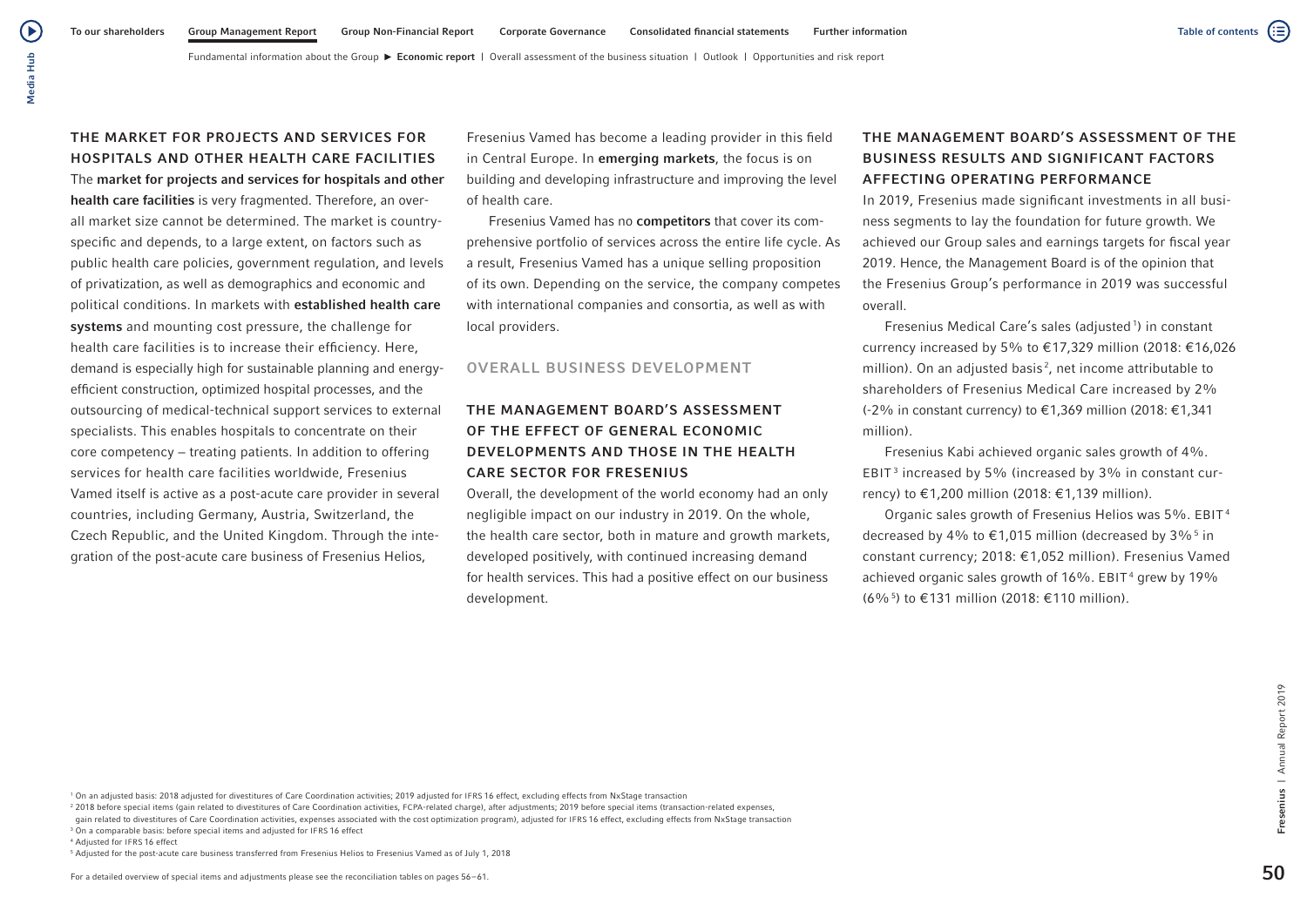( ≣

Fundamental information about the Group **Economic report** | Overall assessment of the business situation | Outlook | Opportunities and risk report

(▶

# THE MARKET FOR PROJECTS AND SERVICES FOR HOSPITALS AND OTHER HEALTH CARE FACILITIES

The market for projects and services for hospitals and other health care facilities is very fragmented. Therefore, an overall market size cannot be determined. The market is countryspecific and depends, to a large extent, on factors such as public health care policies, government regulation, and levels of privatization, as well as demographics and economic and political conditions. In markets with established health care systems and mounting cost pressure, the challenge for health care facilities is to increase their efficiency. Here, demand is especially high for sustainable planning and energyefficient construction, optimized hospital processes, and the outsourcing of medical-technical support services to external specialists. This enables hospitals to concentrate on their core competency − treating patients. In addition to offering services for health care facilities worldwide, Fresenius Vamed itself is active as a post-acute care provider in several countries, including Germany, Austria, Switzerland, the Czech Republic, and the United Kingdom. Through the integration of the post-acute care business of Fresenius Helios,

Fresenius Vamed has become a leading provider in this field in Central Europe. In emerging markets, the focus is on building and developing infrastructure and improving the level of health care.

Fresenius Vamed has no competitors that cover its comprehensive portfolio of services across the entire life cycle. As a result, Fresenius Vamed has a unique selling proposition of its own. Depending on the service, the company competes with international companies and consortia, as well as with local providers.

## OVERALL BUSINESS DEVELOPMENT

# THE MANAGEMENT BOARD'S ASSESSMENT OF THE EFFECT OF GENERAL ECONOMIC DEVELOPMENTS AND THOSE IN THE HEALTH CARE SECTOR FOR FRESENIUS

Overall, the development of the world economy had an only negligible impact on our industry in 2019. On the whole, the health care sector, both in mature and growth markets, developed positively, with continued increasing demand for health services. This had a positive effect on our business development.

# THE MANAGEMENT BOARD'S ASSESSMENT OF THE BUSINESS RESULTS AND SIGNIFICANT FACTORS AFFECTING OPERATING PERFORMANCE

In 2019, Fresenius made significant investments in all business segments to lay the foundation for future growth. We achieved our Group sales and earnings targets for fiscal year 2019. Hence, the Management Board is of the opinion that the Fresenius Group's performance in 2019 was successful overall.

Fresenius Medical Care's sales (adjusted<sup>1</sup>) in constant currency increased by 5% to €17,329 million (2018: €16,026 million). On an adjusted basis <sup>2</sup> , net income attributable to shareholders of Fresenius Medical Care increased by 2% (-2% in constant currency) to €1,369 million (2018: €1,341 million).

Fresenius Kabi achieved organic sales growth of 4%. EBIT $^3$  increased by 5% (increased by 3% in constant currency) to €1,200 million (2018: €1,139 million).

Organic sales growth of Fresenius Helios was 5%. EBIT <sup>4</sup> decreased by 4% to  $\in$ 1,015 million (decreased by 3%  $^5$  in constant currency; 2018: €1,052 million). Fresenius Vamed achieved organic sales growth of 16%. <code>EBIT4</code> grew by 19% (6%5 ) to €131 million (2018: €110 million).

<sup>1</sup> On an adjusted basis: 2018 adjusted for divestitures of Care Coordination activities; 2019 adjusted for IFRS 16 effect, excluding effects from NxStage transaction

<sup>2</sup> 2018 before special items (gain related to divestitures of Care Coordination activities, FCPA-related charge), after adjustments; 2019 before special items (transaction-related expenses,

gain related to divestitures of Care Coordination activities, expenses associated with the cost optimization program), adjusted for IFRS 16 effect, excluding effects from NxStage transaction <sup>3</sup> On a comparable basis: before special items and adjusted for IFRS 16 effect

<sup>4</sup> Adjusted for IFRS 16 effect

<sup>5</sup> Adjusted for the post-acute care business transferred from Fresenius Helios to Fresenius Vamed as of July 1, 2018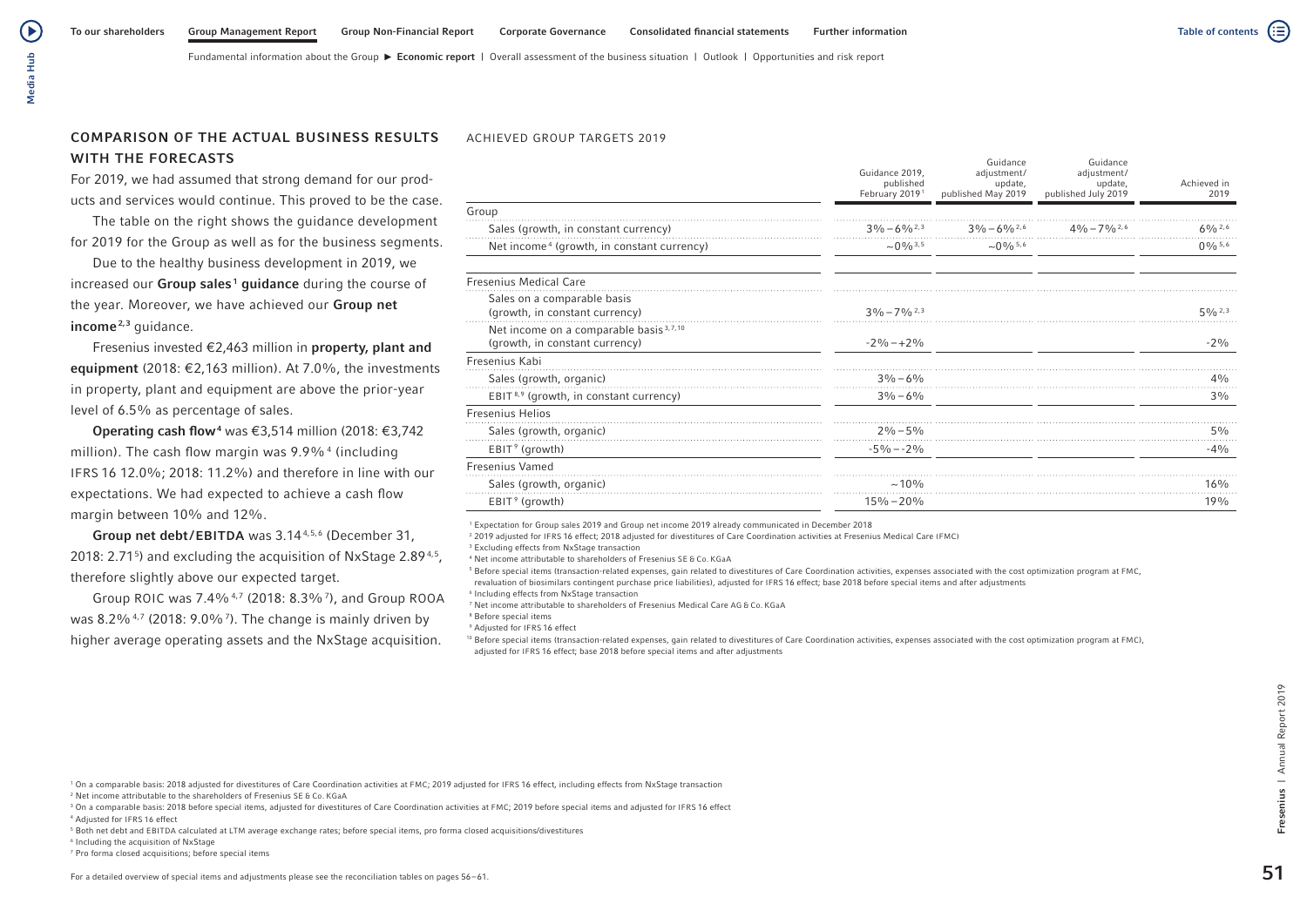# COMPARISON OF THE ACTUAL BUSINESS RESULTS WITH THE FORECASTS

Media Hub

Media Hub

 $\left( \blacktriangleright \right)$ 

For 2019, we had assumed that strong demand for our products and services would continue. This proved to be the case.

The table on the right shows the guidance development for 2019 for the Group as well as for the business segments.

Due to the healthy business development in 2019, we increased our Group sales<sup>1</sup> guidance during the course of the year. Moreover, we have achieved our Group net income<sup>2,3</sup> guidance.

Fresenius invested €2,463 million in property, plant and equipment (2018: €2,163 million). At 7.0%, the investments in property, plant and equipment are above the prior-year level of 6.5% as percentage of sales.

**Operating cash flow<sup>4</sup>** was €3,514 million (2018: €3,742 million). The cash flow margin was 9.9%<sup>4</sup> (including IFRS 16 12.0%; 2018: 11.2%) and therefore in line with our expectations. We had expected to achieve a cash flow margin between 10% and 12%.

Group net debt/EBITDA was 3.14<sup>4,5,6</sup> (December 31, 2018: 2.71<sup>5</sup>) and excluding the acquisition of NxStage 2.89<sup>4,5</sup>, therefore slightly above our expected target.

Group ROIC was 7.4%<sup>4,7</sup> (2018: 8.3%<sup>7</sup>), and Group ROOA was 8.2% $4$ ,  $7$  (2018: 9.0% $7$ ). The change is mainly driven by higher average operating assets and the NxStage acquisition.

### ACHIEVED GROUP TARGETS 2019

|                                                                                      | Guidance 2019,<br>published<br>February 2019 <sup>1</sup> | Guidance<br>adjustment/<br>update,<br>published May 2019 | Guidance<br>adjustment/<br>update,<br>published July 2019 | Achieved in<br>2019 |
|--------------------------------------------------------------------------------------|-----------------------------------------------------------|----------------------------------------------------------|-----------------------------------------------------------|---------------------|
| Group                                                                                |                                                           |                                                          |                                                           |                     |
| Sales (growth, in constant currency)                                                 | $3\% - 6\%$ <sup>2,3</sup>                                | $3\% - 6\%$ <sup>2,6</sup>                               | $4\% - 7\%$ <sup>2,6</sup>                                | $60/n^{2.6}$        |
| Net income <sup>4</sup> (growth, in constant currency)                               | $\sim$ 0% $^{3.5}$                                        | $\sim$ 0 % $^{5,6}$                                      |                                                           | $0\%$ 5,6           |
| <b>Fresenius Medical Care</b>                                                        |                                                           |                                                          |                                                           |                     |
| Sales on a comparable basis<br>(growth, in constant currency)                        | $3\frac{0}{0} - 7\frac{0}{0}$ $^{2,3}$                    |                                                          |                                                           | 50/62.3             |
| Net income on a comparable basis <sup>3,7,10</sup><br>(growth, in constant currency) | $-2\% -12\%$                                              |                                                          |                                                           | $-2\%$              |
| Fresenius Kabi                                                                       |                                                           |                                                          |                                                           |                     |
| Sales (growth, organic)                                                              | $3\% - 6\%$                                               |                                                          |                                                           | 4%                  |
| EBIT <sup>8,9</sup> (growth, in constant currency)                                   | $3\% - 6\%$                                               |                                                          |                                                           | 3%                  |
| <b>Fresenius Helios</b>                                                              |                                                           |                                                          |                                                           |                     |
| Sales (growth, organic)                                                              | $2\% - 5\%$                                               |                                                          |                                                           | 5%                  |
| $EBIT9$ (growth)                                                                     | $-5\% - 2\%$                                              |                                                          |                                                           | $-4%$               |
| <b>Fresenius Vamed</b>                                                               |                                                           |                                                          |                                                           |                     |
| Sales (growth, organic)                                                              | $~10\%$                                                   |                                                          |                                                           | 16%                 |
| EBIT <sup>9</sup> (growth)                                                           | $15\% - 20\%$                                             |                                                          |                                                           | 19%                 |
|                                                                                      |                                                           |                                                          |                                                           |                     |

<sup>1</sup> Expectation for Group sales 2019 and Group net income 2019 already communicated in December 2018

<sup>2</sup> 2019 adjusted for IFRS 16 effect; 2018 adjusted for divestitures of Care Coordination activities at Fresenius Medical Care (FMC)

3 Excluding effects from NxStage transaction

<sup>4</sup> Net income attributable to shareholders of Fresenius SE & Co. KGaA

<sup>5</sup> Before special items (transaction-related expenses, gain related to divestitures of Care Coordination activities, expenses associated with the cost optimization program at FMC,

revaluation of biosimilars contingent purchase price liabilities), adjusted for IFRS 16 effect; base 2018 before special items and after adjustments

6 Including effects from NxStage transaction

<sup>7</sup> Net income attributable to shareholders of Fresenius Medical Care AG & Co. KGaA

8 Before special items

<sup>9</sup> Adjusted for IFRS 16 effect

10 Before special items (transaction-related expenses, gain related to divestitures of Care Coordination activities, expenses associated with the cost optimization program at FMC), adjusted for IFRS 16 effect; base 2018 before special items and after adjustments

<sup>1</sup> On a comparable basis: 2018 adjusted for divestitures of Care Coordination activities at FMC; 2019 adjusted for IFRS 16 effect, including effects from NxStage transaction <sup>2</sup> Net income attributable to the shareholders of Fresenius SE & Co. KGaA

<sup>3</sup> On a comparable basis: 2018 before special items, adjusted for divestitures of Care Coordination activities at FMC; 2019 before special items and adjusted for IFRS 16 effect

<sup>4</sup> Adjusted for IFRS 16 effect

<sup>5</sup> Both net debt and EBITDA calculated at LTM average exchange rates; before special items, pro forma closed acquisitions/divestitures

<sup>6</sup> Including the acquisition of NxStage

<sup>7</sup> Pro forma closed acquisitions; before special items

51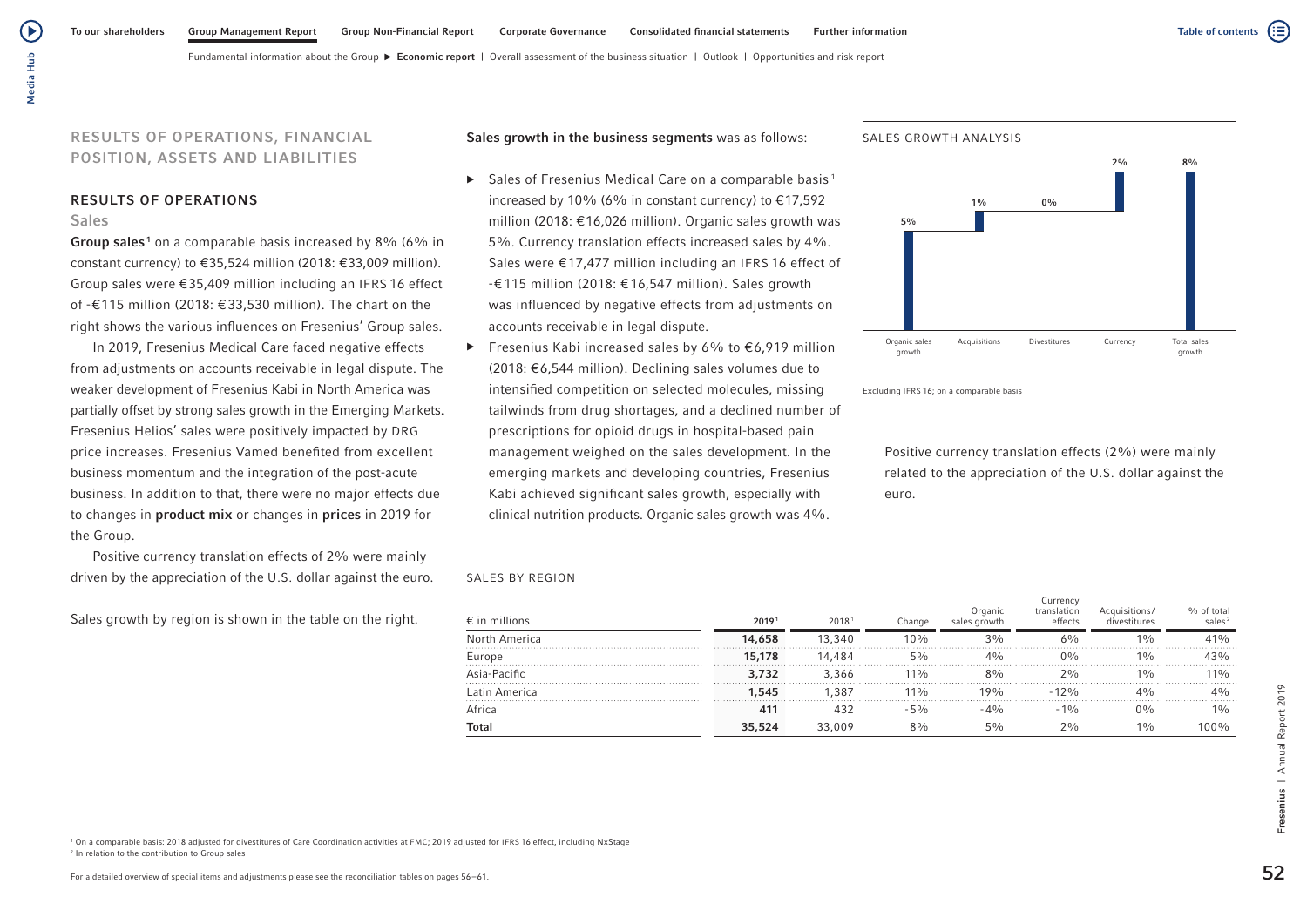( ▶

Fundamental information about the Group  $\blacktriangleright$  Economic report | Overall assessment of the business situation | Outlook | Opportunities and risk report

# RESULTS OF OPERATIONS, FINANCIAL POSITION, ASSETS AND LIABILITIES

### RESULTS OF OPERATIONS

### Sales

Group sales<sup>1</sup> on a comparable basis increased by 8% (6% in constant currency) to €35,524 million (2018: €33,009 million). Group sales were €35,409 million including an IFRS 16 effect of -€115 million (2018: € 33,530 million). The chart on the right shows the various influences on Fresenius' Group sales.

In 2019, Fresenius Medical Care faced negative effects from adjustments on accounts receivable in legal dispute. The weaker development of Fresenius Kabi in North America was partially offset by strong sales growth in the Emerging Markets. Fresenius Helios' sales were positively impacted by DRG price increases. Fresenius Vamed benefited from excellent business momentum and the integration of the post-acute business. In addition to that, there were no major effects due to changes in product mix or changes in prices in 2019 for the Group.

Positive currency translation effects of 2% were mainly driven by the appreciation of the U.S. dollar against the euro.

Sales growth by region is shown in the table on the right.

Sales growth in the business segments was as follows:

- $\blacktriangleright$  Sales of Fresenius Medical Care on a comparable basis<sup>1</sup> increased by 10% (6% in constant currency) to  $£17,592$ million (2018: €16,026 million). Organic sales growth was 5%. Currency translation effects increased sales by 4%. Sales were €17,477 million including an IFRS 16 effect of -€115 million (2018: €16,547 million). Sales growth was influenced by negative effects from adjustments on accounts receivable in legal dispute.
- Fresenius Kabi increased sales by 6% to  $\epsilon$ 6,919 million (2018: €6,544 million). Declining sales volumes due to intensified competition on selected molecules, missing tailwinds from drug shortages, and a declined number of prescriptions for opioid drugs in hospital-based pain management weighed on the sales development. In the emerging markets and developing countries, Fresenius Kabi achieved significant sales growth, especially with clinical nutrition products. Organic sales growth was 4%.





Excluding IFRS 16; on a comparable basis

Positive currency translation effects (2%) were mainly related to the appreciation of the U.S. dollar against the euro.

#### SALES BY REGION

| $\epsilon$ in millions | 20191           | 20181      | Change | Organic<br>sales growth | Currencv<br>translation<br>effects |       | sales? |
|------------------------|-----------------|------------|--------|-------------------------|------------------------------------|-------|--------|
| North America          | 14,658          | 13.340     | 10%    | 3%                      | 6%                                 | $1\%$ | 41%    |
| Europe                 | 15.178          | 14 484     | $5\%$  | 40/                     | $0\%$                              | $1\%$ |        |
| Asia-Pacific           | 3.732           | 3.366<br>. | $11\%$ | 80/6<br>.               | 70/6                               | 10/6  | 10/n   |
| Latin America          | 1.545           | 1.387      | $11\%$ | 19%                     | $-12%$                             | 4%    | $4\%$  |
| Africa                 | 41 <sup>7</sup> |            | 50/6   | $-400$                  | $-10o$                             | በ‰    | 10/0   |
| Total                  | 35.524          | 33 UU 6    | $8\%$  | 5%                      | 20/0                               | $1\%$ | 100%   |

<sup>1</sup> On a comparable basis: 2018 adjusted for divestitures of Care Coordination activities at FMC; 2019 adjusted for IFRS 16 effect, including NxStage <sup>2</sup> In relation to the contribution to Group sales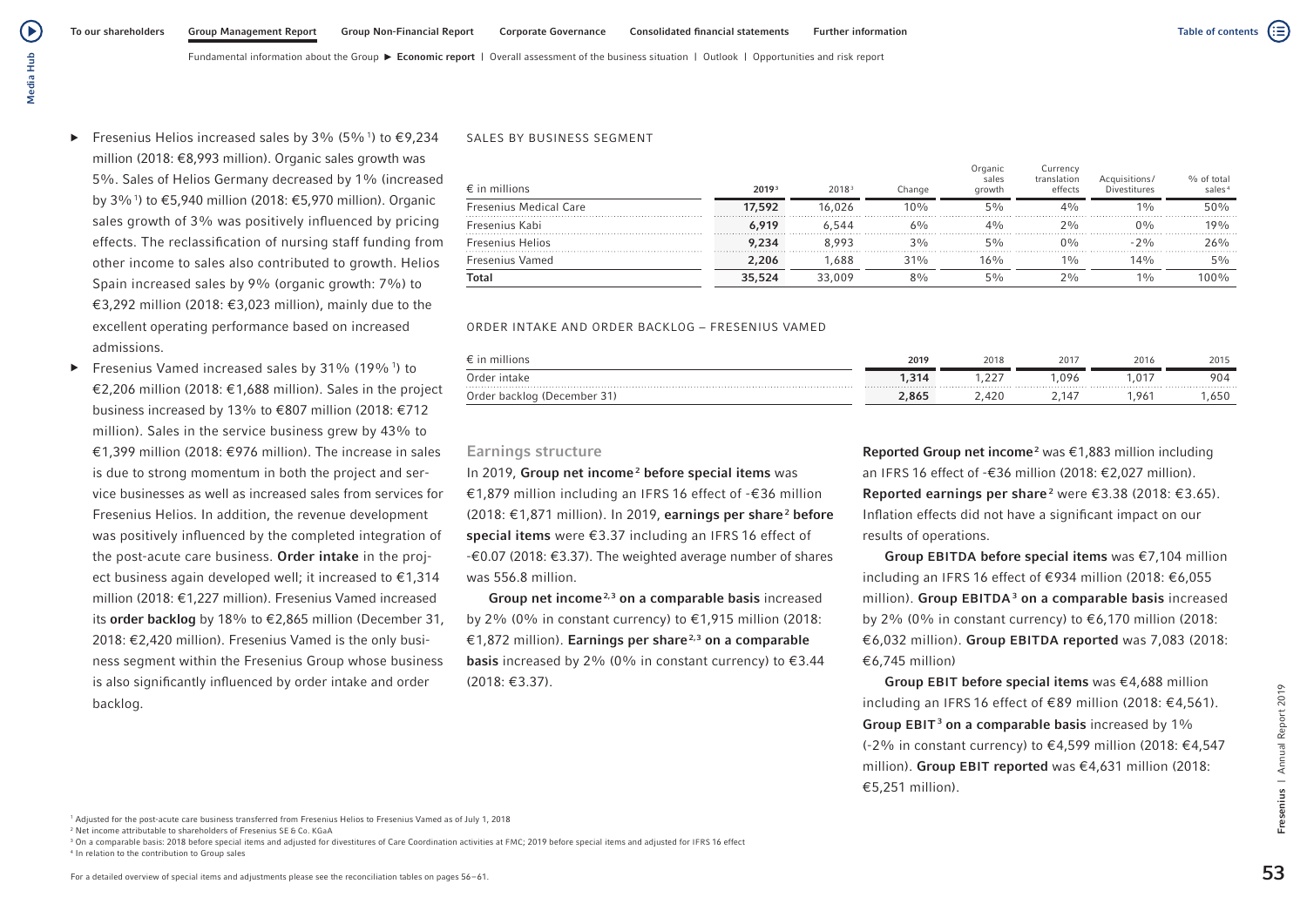( ≣

Fundamental information about the Group **Economic report** | Overall assessment of the business situation | Outlook | Opportunities and risk report

- ▶ Fresenius Helios increased sales by 3% (5%<sup>1</sup>) to  $€9,234$ million (2018: €8,993 million). Organic sales growth was 5%. Sales of Helios Germany decreased by 1% (increased by 3%1 ) to €5,940 million (2018: €5,970 million). Organic sales growth of 3% was positively influenced by pricing effects. The reclassification of nursing staff funding from other income to sales also contributed to growth. Helios Spain increased sales by 9% (organic growth: 7%) to €3,292 million (2018: €3,023 million), mainly due to the excellent operating performance based on increased admissions.
- ▶ Fresenius Vamed increased sales by 31% (19%<sup>1</sup>) to €2,206 million (2018: €1,688 million). Sales in the project business increased by 13% to €807 million (2018: €712 million). Sales in the service business grew by 43% to €1,399 million (2018: €976 million). The increase in sales is due to strong momentum in both the project and service businesses as well as increased sales from services for Fresenius Helios. In addition, the revenue development was positively influenced by the completed integration of the post-acute care business. Order intake in the project business again developed well; it increased to €1,314 million (2018: €1,227 million). Fresenius Vamed increased its order backlog by 18% to €2,865 million (December 31, 2018: €2,420 million). Fresenius Vamed is the only business segment within the Fresenius Group whose business is also significantly influenced by order intake and order backlog.

### SALES BY BUSINESS SEGMENT

| $\epsilon$ in millions        | 20193  | 2018 <sup>3</sup> | Change | Organic<br>sales<br>arowth | Currencv<br>translation<br>effects | Acquisitions/<br>Divestitures | % of total<br>sales <sup>4</sup> |
|-------------------------------|--------|-------------------|--------|----------------------------|------------------------------------|-------------------------------|----------------------------------|
| <b>Fresenius Medical Care</b> | 17,592 | 16.026            | $10\%$ | $5\%$                      | 4%                                 | 10/6                          | 50%                              |
| Fresenius Kabi                | 6.919  | 6.544             | $6\%$  | $4\%$                      | 20/6                               | $0\%$                         | 19%                              |
| <b>Fresenius Helios</b>       | 9.234  | 8.993             | $3\%$  | 5%                         | $0\%$                              | $-2\%$                        | 26%                              |
| Fresenius Vamed               | 2,206  | ,688              | 31%    | $16\%$                     | $1\%$                              | 14%                           | 5%                               |
| Total                         | 35,524 | 33,009            | 8%     | 5%                         | $2\frac{0}{0}$                     | $1\%$                         | 100%                             |

### ORDER INTAKE AND ORDER BACKLOG − FRESENIUS VAMED

|                             | 2019  | 2018 | 2017  | 2016 | 2015 |
|-----------------------------|-------|------|-------|------|------|
| Order intake                | 1,314 | 22   | ,096  | ,017 | 904  |
| Order backlog (December 31) | 2,865 | 420  | ` 14, | .96  | .650 |

# Earnings structure

In 2019, Group net income<sup>2</sup> before special items was €1,879 million including an IFRS 16 effect of -€36 million (2018: €1,871 million). In 2019, earnings per share<sup>2</sup> before special items were €3.37 including an IFRS 16 effect of -€0.07 (2018: €3.37). The weighted average number of shares was 556.8 million.

Group net income<sup>2,3</sup> on a comparable basis increased by 2% (0% in constant currency) to €1,915 million (2018: €1,872 million). Earnings per share<sup>2,3</sup> on a comparable **basis** increased by 2% (0% in constant currency) to  $\epsilon$ 3.44 (2018: €3.37).

**Reported Group net income**<sup>2</sup> was  $\epsilon$ 1,883 million including an IFRS 16 effect of -€36 million (2018: €2,027 million). **Reported earnings per share**<sup>2</sup> were €3.38 (2018: €3.65). Inflation effects did not have a significant impact on our results of operations.

Group EBITDA before special items was €7,104 million including an IFRS 16 effect of €934 million (2018: €6,055 million). **Group EBITDA<sup>3</sup> on a comparable basis** increased by 2% (0% in constant currency) to €6,170 million (2018: €6,032 million). Group EBITDA reported was 7,083 (2018: €6,745 million)

Group EBIT before special items was  $\epsilon$ 4,688 million including an IFRS 16 effect of €89 million (2018: €4,561). Group EBIT<sup>3</sup> on a comparable basis increased by 1% (-2% in constant currency) to €4,599 million (2018: €4,547 million). Group EBIT reported was €4,631 million (2018: €5,251 million).

<sup>3</sup> On a comparable basis: 2018 before special items and adjusted for divestitures of Care Coordination activities at FMC; 2019 before special items and adjusted for IFRS 16 effect <sup>4</sup> In relation to the contribution to Group sales

<sup>1</sup> Adjusted for the post-acute care business transferred from Fresenius Helios to Fresenius Vamed as of July 1, 2018

Fresenius | Annual Report 2019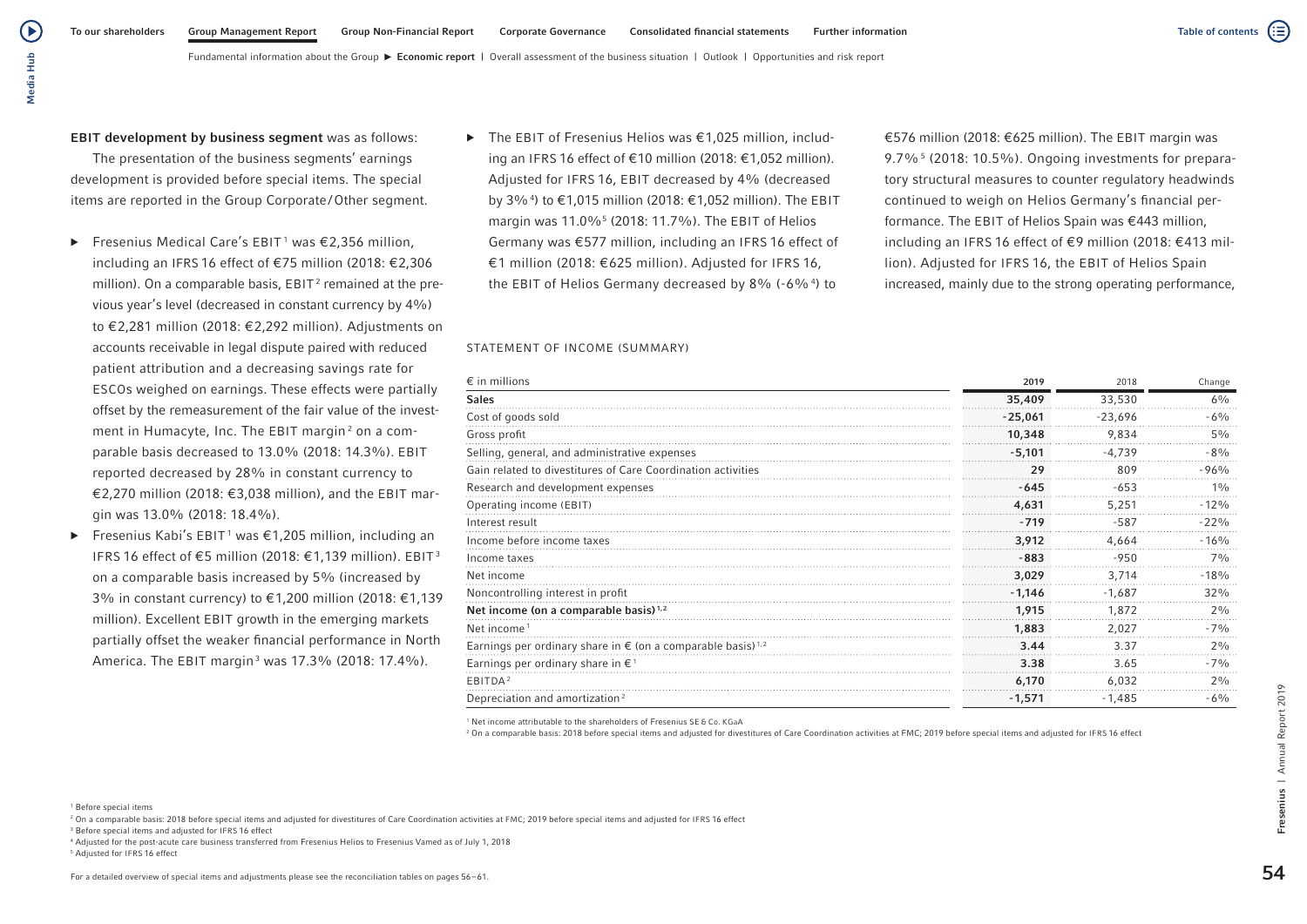( ≣

Media Hub Media Hub

(▶

# EBIT development by business segment was as follows:

The presentation of the business segments' earnings development is provided before special items. The special items are reported in the Group Corporate/Other segment.

- $\blacktriangleright$  Fresenius Medical Care's EBIT<sup>1</sup> was  $\epsilon$ 2,356 million, including an IFRS 16 effect of €75 million (2018: €2,306 million). On a comparable basis,  $EBIT<sup>2</sup>$  remained at the previous year's level (decreased in constant currency by 4%) to €2,281 million (2018: €2,292 million). Adjustments on accounts receivable in legal dispute paired with reduced patient attribution and a decreasing savings rate for ESCOs weighed on earnings. These effects were partially offset by the remeasurement of the fair value of the investment in Humacyte, Inc. The EBIT margin<sup>2</sup> on a comparable basis decreased to 13.0% (2018: 14.3%). EBIT reported decreased by 28% in constant currency to €2,270 million (2018: €3,038 million), and the EBIT margin was 13.0% (2018: 18.4%).
- ▶ Fresenius Kabi's EBIT<sup>1</sup> was €1,205 million, including an IFRS 16 effect of €5 million (2018: €1,139 million). EBIT <sup>3</sup> on a comparable basis increased by 5% (increased by 3% in constant currency) to €1,200 million (2018: €1,139 million). Excellent EBIT growth in the emerging markets partially offset the weaker financial performance in North America. The EBIT margin<sup>3</sup> was 17.3% (2018: 17.4%).

▶ The EBIT of Fresenius Helios was €1,025 million, including an IFRS 16 effect of €10 million (2018: €1,052 million). Adjusted for IFRS 16, EBIT decreased by 4% (decreased by 3%4 ) to €1,015 million (2018: €1,052 million). The EBIT margin was 11.0%5 (2018: 11.7%). The EBIT of Helios Germany was €577 million, including an IFRS 16 effect of €1 million (2018: €625 million). Adjusted for IFRS 16, the EBIT of Helios Germany decreased by 8% (-6%4) to

€576 million (2018: €625 million). The EBIT margin was 9.7%<sup>5</sup> (2018: 10.5%). Ongoing investments for preparatory structural measures to counter regulatory headwinds continued to weigh on Helios Germany's financial performance. The EBIT of Helios Spain was €443 million, including an IFRS 16 effect of €9 million (2018: €413 million). Adjusted for IFRS 16, the EBIT of Helios Spain increased, mainly due to the strong operating performance,

### STATEMENT OF INCOME (SUMMARY)

| $\epsilon$ in millions                                                           | 2019      | 2018      | Change  |
|----------------------------------------------------------------------------------|-----------|-----------|---------|
| <b>Sales</b>                                                                     | 35,409    | 33,530    | 6%      |
| Cost of goods sold                                                               | $-25,061$ | $-23,696$ | $-6\%$  |
| Gross profit                                                                     | 10,348    | 9,834     | 5%      |
| Selling, general, and administrative expenses                                    | $-5,101$  | $-4,739$  | $-8%$   |
| Gain related to divestitures of Care Coordination activities                     | 29        | 809       | $-96%$  |
| Research and development expenses                                                | $-645$    | $-653$    | 10/n    |
| Operating income (EBIT)                                                          | 4,631     | 5,251     | $-12%$  |
| Interest result                                                                  | $-719$    | $-587$    | $-22%$  |
| Income before income taxes                                                       | 3,912     | 4,664     | $-16%$  |
| Income taxes                                                                     | $-883$    | $-950$    | 7%      |
| Net income                                                                       | 3,029     | 3,714     | $-18%$  |
| Noncontrolling interest in profit                                                | $-1,146$  | $-1,687$  | 32%     |
| Net income (on a comparable basis) <sup>1,2</sup>                                | 1,915     | 1,872     | 2%      |
| Net income <sup>1</sup>                                                          | 1,883     | 2,027     | $-7%$   |
| Earnings per ordinary share in $\epsilon$ (on a comparable basis) <sup>1,2</sup> | 3.44      | 3.37      | 2%      |
| Earnings per ordinary share in $\epsilon$ <sup>1</sup>                           | 3.38      | 3.65      | $-70/6$ |
| EBITDA <sup>2</sup>                                                              | 6.170     | 6,032     | 2%      |
| Depreciation and amortization <sup>2</sup>                                       | $-1,571$  | $-1,485$  | $-6%$   |

<sup>1</sup> Net income attributable to the shareholders of Fresenius SE & Co. KGaA

2 On a comparable basis: 2018 before special items and adjusted for divestitures of Care Coordination activities at FMC; 2019 before special items and adjusted for IFRS 16 effect

<sup>1</sup> Before special items

<sup>3</sup> Before special items and adjusted for IFRS 16 effect

- <sup>4</sup> Adjusted for the post-acute care business transferred from Fresenius Helios to Fresenius Vamed as of July 1, 2018
- 5 Adjusted for IFRS 16 effect

<sup>2</sup> On a comparable basis: 2018 before special items and adjusted for divestitures of Care Coordination activities at FMC; 2019 before special items and adjusted for IFRS 16 effect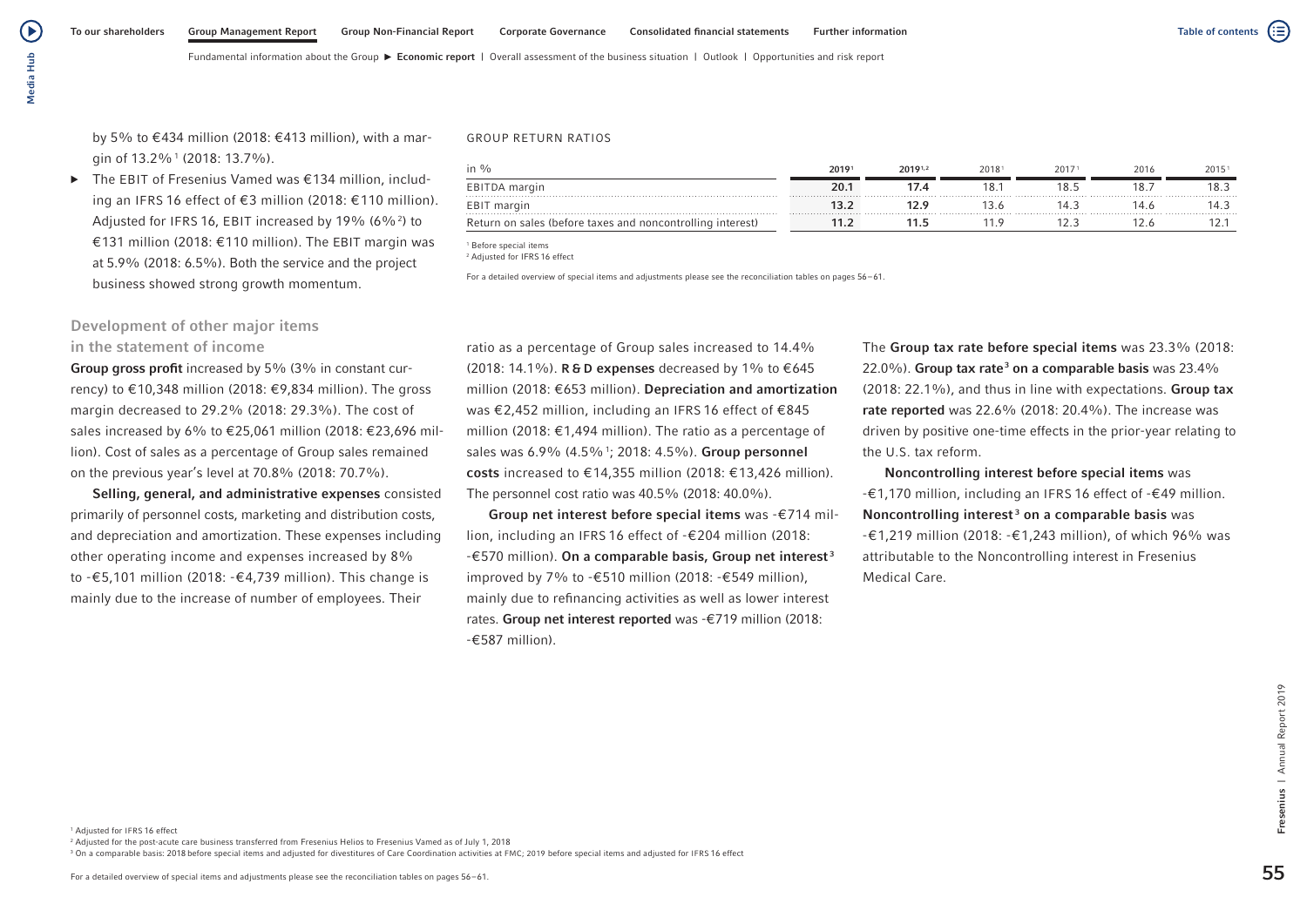Media Hub Media Hub

(▶

by 5% to €434 million (2018: €413 million), with a margin of 13.2%1 (2018: 13.7%).

▶ The EBIT of Fresenius Vamed was €134 million, including an IFRS 16 effect of €3 million (2018: €110 million). Adjusted for IFRS 16, EBIT increased by 19% (6%<sup>2</sup>) to €131 million (2018: €110 million). The EBIT margin was at 5.9% (2018: 6.5%). Both the service and the project business showed strong growth momentum.

# Development of other major items in the statement of income

Group gross profit increased by 5% (3% in constant currency) to €10,348 million (2018: €9,834 million). The gross margin decreased to 29.2% (2018: 29.3%). The cost of sales increased by 6% to €25,061 million (2018: €23,696 million). Cost of sales as a percentage of Group sales remained on the previous year's level at 70.8% (2018: 70.7%).

Selling, general, and administrative expenses consisted primarily of personnel costs, marketing and distribution costs, and depreciation and amortization. These expenses including other operating income and expenses increased by 8% to -€5,101 million (2018: -€4,739 million). This change is mainly due to the increase of number of employees. Their

#### GROUP RETURN RATIOS

| in %                                                       | 20191 | 20191,2 | 20181 | 20171 | 2016 | 20151 |
|------------------------------------------------------------|-------|---------|-------|-------|------|-------|
| EBITDA margin                                              | 20.   |         |       | 8.5   | 18.  | 18.3  |
| EBIT margin                                                |       |         |       |       | 14 6 |       |
| Return on sales (before taxes and noncontrolling interest) |       |         |       |       |      |       |

<sup>1</sup> Before special items

2 Adjusted for IFRS 16 effect

For a detailed overview of special items and adjustments please see the reconciliation tables on pages 56–61.

ratio as a percentage of Group sales increased to 14.4% (2018: 14.1%). R & D expenses decreased by 1% to €645 million (2018: €653 million). Depreciation and amortization was €2,452 million, including an IFRS 16 effect of €845 million (2018: €1,494 million). The ratio as a percentage of sales was 6.9% (4.5%<sup>1</sup>; 2018: 4.5%). Group personnel costs increased to €14,355 million (2018: €13,426 million). The personnel cost ratio was 40.5% (2018: 40.0%).

Group net interest before special items was -€714 million, including an IFRS 16 effect of -€204 million (2018:  $-$  €570 million). On a comparable basis, Group net interest<sup>3</sup> improved by 7% to -€510 million (2018: -€549 million), mainly due to refinancing activities as well as lower interest rates. Group net interest reported was -€719 million (2018: -€587 million).

The Group tax rate before special items was 23.3% (2018: 22.0%). Group tax rate<sup>3</sup> on a comparable basis was 23.4% (2018: 22.1%), and thus in line with expectations. Group tax rate reported was 22.6% (2018: 20.4%). The increase was driven by positive one-time effects in the prior-year relating to the U.S. tax reform.

Noncontrolling interest before special items was -€1,170 million, including an IFRS 16 effect of -€49 million. Noncontrolling interest<sup>3</sup> on a comparable basis was -€1,219 million (2018: -€1,243 million), of which 96% was attributable to the Noncontrolling interest in Fresenius Medical Care.

<sup>2</sup> Adjusted for the post-acute care business transferred from Fresenius Helios to Fresenius Vamed as of July 1, 2018

<sup>3</sup> On a comparable basis: 2018 before special items and adjusted for divestitures of Care Coordination activities at FMC: 2019 before special items and adjusted for IFRS 16 effect

Fresenius | Annual Report 2019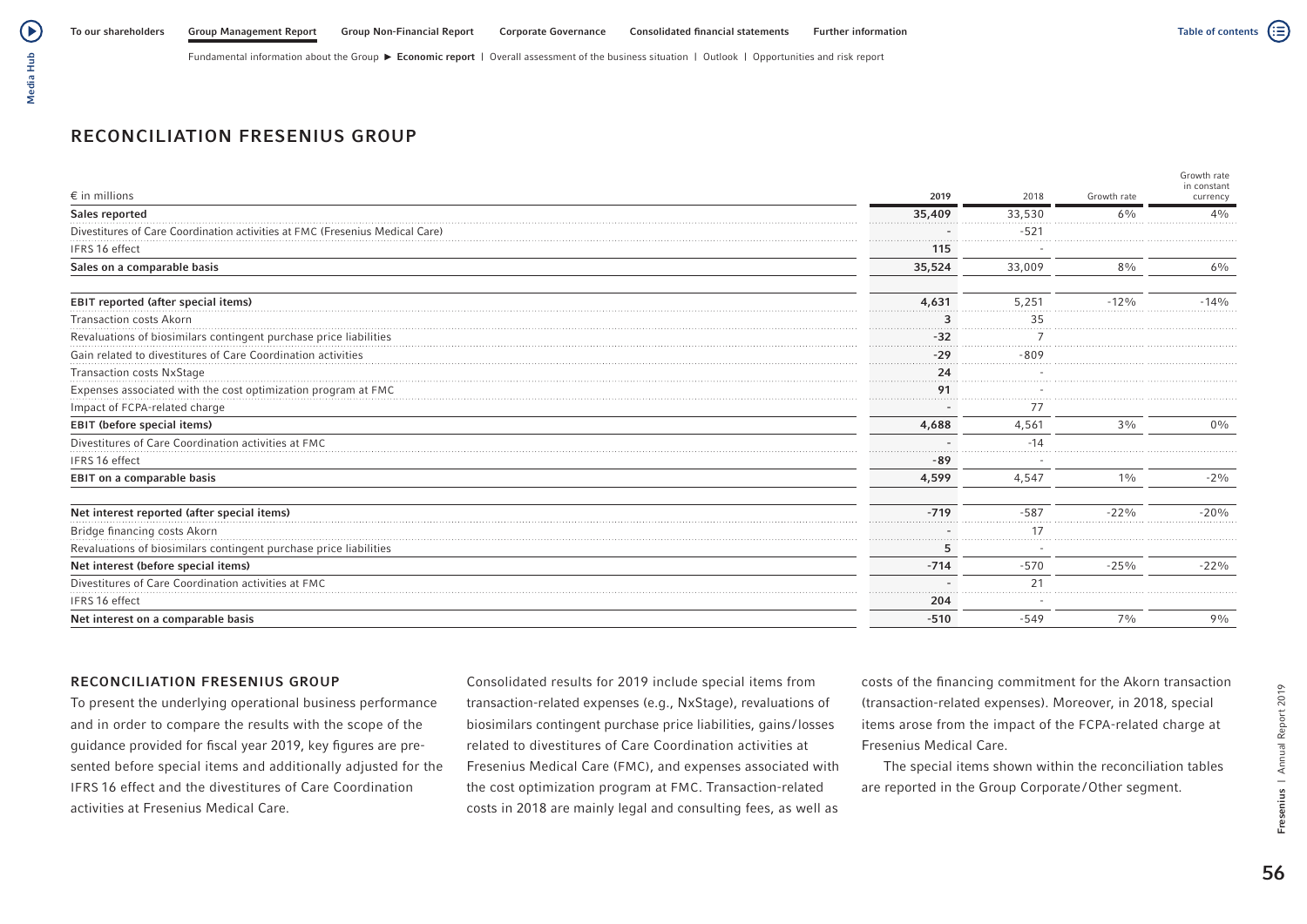# RECONCILIATION FRESENIUS GROUP

|                                                                   |        |        |             | Growth rate<br>in constant |
|-------------------------------------------------------------------|--------|--------|-------------|----------------------------|
| $\epsilon$ in millions                                            | 2019   | 2018   | Growth rate | currency                   |
| Sales reported                                                    | 35,409 | 33,530 | 6%          | 4%                         |
| Divestitures of Care Coordination activi<br>Medical Care          |        | $-521$ |             |                            |
| IFRS 16 effect                                                    | 115    |        |             |                            |
| Sales on a comparable basis                                       | 35,524 | 33,009 | 8%          | $6\%$                      |
| EBIT reported (after special items)                               | 4,631  | 5.251  | $-12%$      | $-14%$                     |
| <b>Transaction costs Akorn</b>                                    |        | 35     |             |                            |
| Revaluations of biosimilars contingent purchase price liabilities | .<br>. |        |             |                            |
| Gain related to divestitures of Care Coordination activities      | $-29$  | $-809$ |             |                            |
| Transaction costs NxStage                                         | 24     |        |             |                            |
| Expenses associated with the cost optimization program at FMC     | 91     |        |             |                            |
| Impact of FCPA-related charge                                     |        |        |             |                            |
| <b>EBIT (before special items)</b>                                | 4,688  | 4,561  | $3\%$       | $0\%$                      |
| Divestitures of Care Coordination activities at FMC               |        | $-14$  |             |                            |
| IFRS 16 effect                                                    | -89    |        |             |                            |
| EBIT on a comparable basis                                        | 4,599  | 4,547  | $1\%$       | $-2\%$                     |
| Net interest reported (after special items)                       | $-719$ | $-587$ | $-22%$      | $-20%$                     |
| Bridge financing costs Akorn                                      |        | 17     |             |                            |
| Revaluations of biosimilars contingent purchase price liabilities |        |        |             |                            |
| Net interest (before special items)                               | $-714$ | $-570$ | $-25%$      | $-22%$                     |
| Divestitures of Care Coordination activities at FMC               |        | 21     |             |                            |
| IFRS 16 effect                                                    | 204    |        |             |                            |
| Net interest on a comparable basis                                | $-510$ | $-549$ | 7%          | 9%                         |

# RECONCILIATION FRESENIUS GROUP

To present the underlying operational business performance and in order to compare the results with the scope of the guidance provided for fiscal year 2019, key figures are presented before special items and additionally adjusted for the IFRS 16 effect and the divestitures of Care Coordination activities at Fresenius Medical Care.

Consolidated results for 2019 include special items from transaction-related expenses (e.g., NxStage), revaluations of biosimilars contingent purchase price liabilities, gains /losses related to divestitures of Care Coordination activities at Fresenius Medical Care (FMC), and expenses associated with the cost optimization program at FMC. Transaction-related costs in 2018 are mainly legal and consulting fees, as well as

costs of the financing commitment for the Akorn transaction (transaction-related expenses). Moreover, in 2018, special items arose from the impact of the FCPA-related charge at Fresenius Medical Care.

The special items shown within the reconciliation tables are reported in the Group Corporate/Other segment.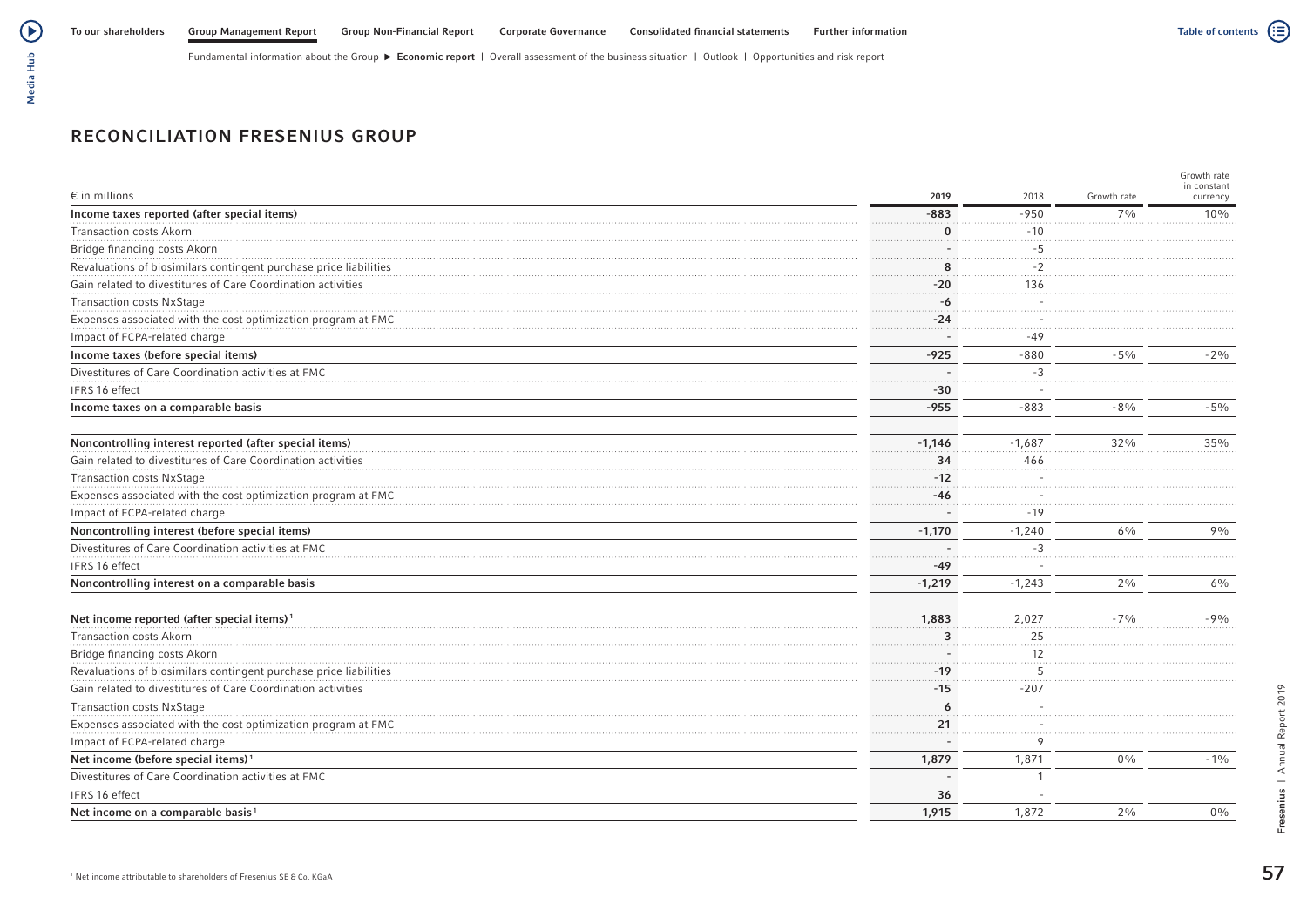# RECONCILIATION FRESENIUS GROUP

| $\epsilon$ in millions                                            | 2019     | 2018     | Growth rate    | Growth rate<br>in constant<br>currency |
|-------------------------------------------------------------------|----------|----------|----------------|----------------------------------------|
| Income taxes reported (after special items)                       | $-883$   | $-950$   | $7\frac{0}{0}$ | 10%                                    |
| <b>Transaction costs Akorn</b>                                    |          | $-10$    |                |                                        |
| Bridge financing costs Akorn                                      |          | $-5$     |                |                                        |
| Revaluations of biosimilars contingent purchase price liabilities | Я        | $-2$     |                |                                        |
| Gain related to divestitures of Care Coordination activities      | $-20$    | 136      |                |                                        |
| <b>Transaction costs NxStage</b>                                  | -6       |          |                |                                        |
| Expenses associated with the cost optimization program at FMC     | $-24$    |          |                |                                        |
| Impact of FCPA-related charge                                     |          | $-49$    |                |                                        |
| Income taxes (before special items)                               | $-925$   | $-880$   | $-5%$          | $-2\%$                                 |
| Divestitures of Care Coordination activities at FMC               |          | $-3$     |                |                                        |
| IFRS 16 effect                                                    | $-30$    |          |                |                                        |
| Income taxes on a comparable basis                                | $-955$   | $-883$   | $-8%$          | $-5%$                                  |
| Noncontrolling interest reported (after special items)            | $-1,146$ | $-1,687$ | 32%            | 35%                                    |
| Gain related to divestitures of Care Coordination activities      | 34       | 466      |                |                                        |
| <b>Transaction costs NxStage</b>                                  | $-12$    |          |                |                                        |
| Expenses associated with the cost optimization program at FMC     | $-46$    |          |                |                                        |
| Impact of FCPA-related charge                                     |          | $-19$    |                |                                        |
| Noncontrolling interest (before special items)                    | $-1,170$ | $-1,240$ | $6\%$          | $9\%$                                  |
| Divestitures of Care Coordination activities at FMC               |          | $-3$     |                |                                        |
| IFRS 16 effect                                                    | -49      |          |                |                                        |
| Noncontrolling interest on a comparable basis                     | $-1,219$ | $-1,243$ | $2\%$          | 6%                                     |
| Net income reported (after special items) <sup>1</sup>            | 1,883    | 2,027    | $-7%$          | $-9%$                                  |
| <b>Transaction costs Akorn</b>                                    |          | 25       |                |                                        |
| Bridge financing costs Akorn                                      |          | 12       |                |                                        |
| Revaluations of biosimilars contingent purchase price liabilities | $-19$    | -5       |                |                                        |
| Gain related to divestitures of Care Coordination activities      | $-15$    | $-207$   |                |                                        |
| <b>Transaction costs NxStage</b>                                  | 6        |          |                |                                        |
| Expenses associated with the cost optimization program at FMC     | 21       |          |                |                                        |
| Impact of FCPA-related charge                                     |          | 9        |                |                                        |
| Net income (before special items) <sup>1</sup>                    | 1,879    | 1,871    | $0\%$          | $-1\%$                                 |
| Divestitures of Care Coordination activities at FMC               |          |          |                |                                        |
| IFRS 16 effect                                                    | 36       |          |                |                                        |
| Net income on a comparable basis <sup>1</sup>                     | 1,915    | 1,872    | $2\frac{0}{0}$ | $0\%$                                  |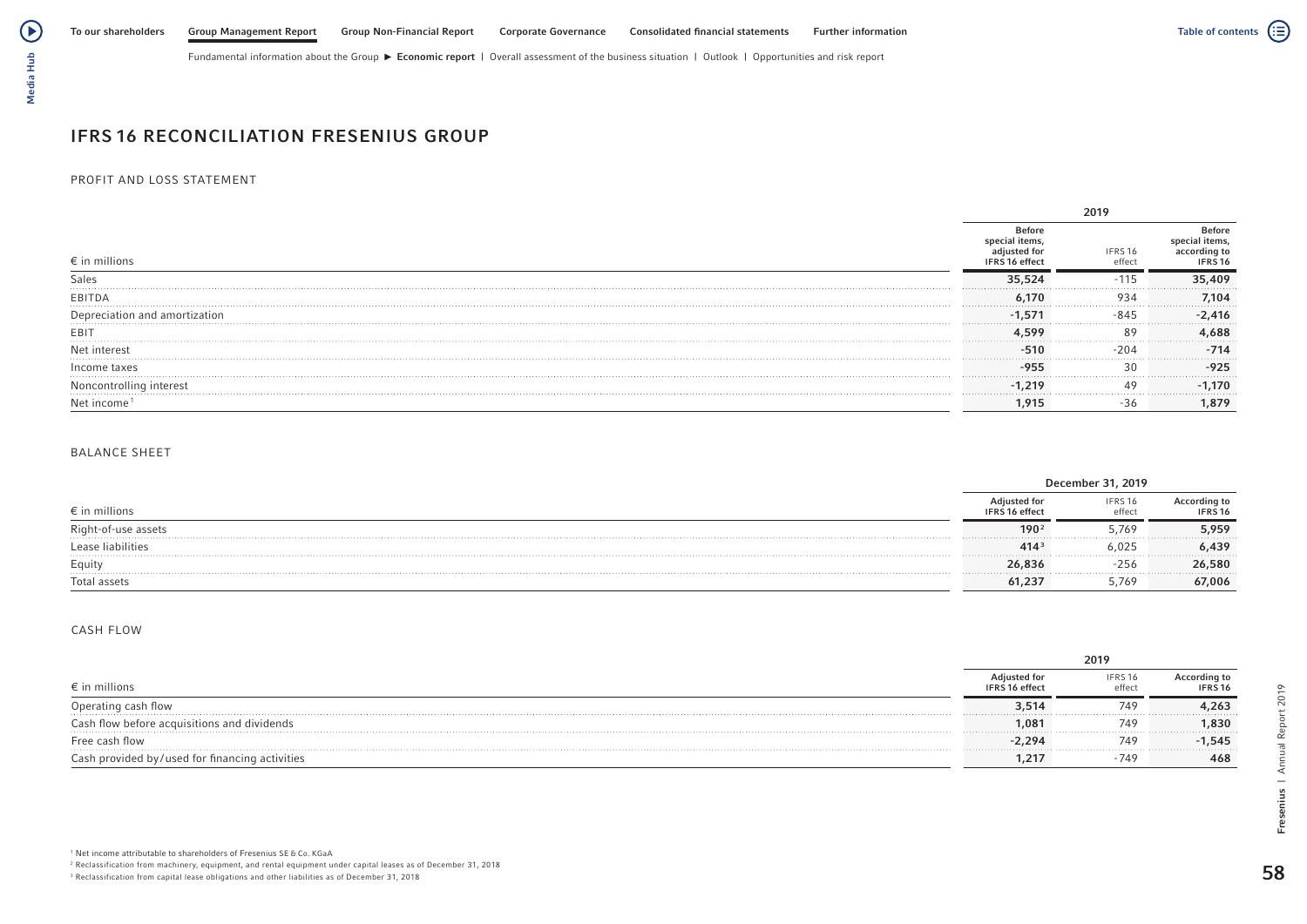# Media Hub Media Hub

# IFRS 16 RECONCILIATION FRESENIUS GROUP

### PROFIT AND LOSS STATEMENT

| $\epsilon$ in millions  | Refon<br>IFRS 16 effect | IFRS 16<br>effect | efore}<br>items. |  |  |
|-------------------------|-------------------------|-------------------|------------------|--|--|
| Sales                   | 35 524<br>.             |                   | 5,409            |  |  |
| EBITDA                  | 6.170                   | 934               | 7.104            |  |  |
|                         |                         |                   | 2.416            |  |  |
| EBI                     | 500                     |                   | 1.688            |  |  |
| Net interest            | $-51c$                  |                   | $-714$           |  |  |
| Income taxes            |                         |                   | $-925$<br>.      |  |  |
| Noncontrolling interest | -1.219                  |                   | 1.170<br>.       |  |  |
|                         |                         |                   | .879             |  |  |

### BALANCE SHEET

|                        | December                              | 31,2019           |                         |
|------------------------|---------------------------------------|-------------------|-------------------------|
| $\epsilon$ in millions | Adjusted for<br><b>IFRS 16 effect</b> | IFRS 16<br>effect | According to<br>IFRS 16 |
|                        | 190                                   | 5.769             | 5,959<br>.              |
| Lease liabilities      | 414 <sup>3</sup>                      | 6,025             | 6,439<br>.              |
| Equity                 | 26,836                                | $-256$            | 26,580                  |
| .<br>Total assets      | 61.23                                 | 5.769             | .<br>67,006             |

### CASH FLOW

|                                                |                                       | 2019             |                                           |
|------------------------------------------------|---------------------------------------|------------------|-------------------------------------------|
| $\epsilon$ in millions                         | <b>Adjusted for</b><br>IFRS 16 effect | IFRS 16<br>effec | <b>According to</b><br>IFRS <sub>16</sub> |
| Operating cash flow                            | 3,514                                 | 749              | 4,263<br>.                                |
| Cash flow before acquisitions and dividends    | 1.081                                 | 749              | 1,830<br>.                                |
| Free cash flow                                 | $-2.294$                              | 749              | $-1,545$<br>.                             |
| Cash provided by/used for financing activities | 1.217                                 | $-749$           | 468                                       |

58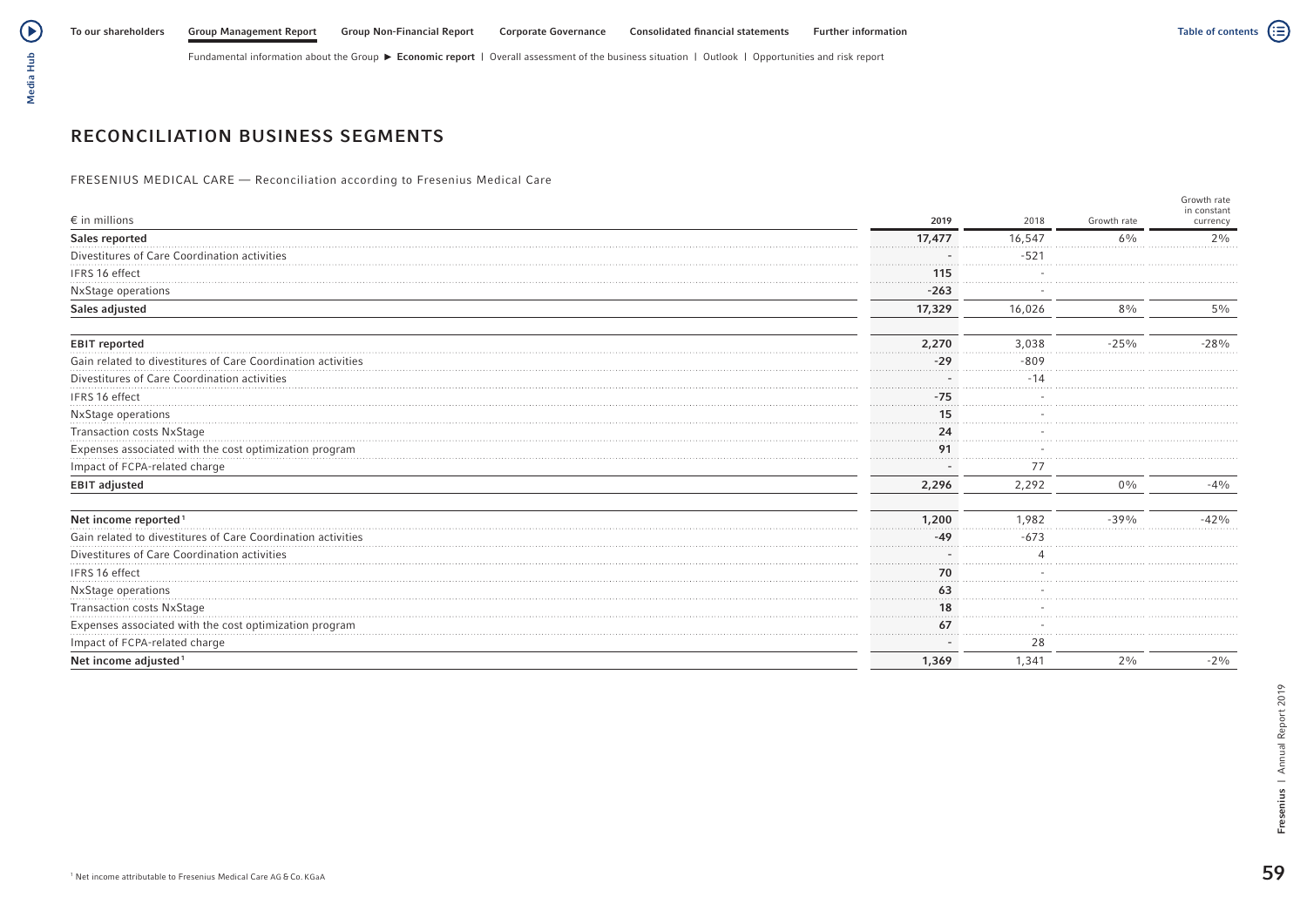# Media Hub Media Hub

# RECONCILIATION BUSINESS SEGMENTS

FRESENIUS MEDICAL CARE — Reconciliation according to Fresenius Medical Care

|                                                              |          |        |             | Growth rate<br>in constant |
|--------------------------------------------------------------|----------|--------|-------------|----------------------------|
| $\epsilon$ in millions                                       | 2019     | 2018   | Growth rate | currency                   |
| Sales reported                                               | 17,477   | 16,547 | $6\%$       | 2%                         |
| Divestitures of Care Coordination activities                 |          | $-521$ |             |                            |
| IFRS 16 effect                                               | 115<br>. |        |             |                            |
| NxStage operations                                           | $-263$   |        |             |                            |
| Sales adjusted                                               | 17,329   | 16,026 | $8\%$       | $5\%$                      |
| <b>EBIT reported</b>                                         | 2,270    | 3,038  | $-25%$      | $-28%$                     |
| Gain related to divestitures of Care Coordination activities | $-29$    | $-809$ |             |                            |
| Divestitures of Care Coordination activities                 |          |        |             |                            |
| IFRS 16 effect                                               | $-75$    |        |             |                            |
| NxStage operations                                           | 15       |        |             |                            |
| Transaction costs NxStage                                    | 24       |        |             |                            |
| Expenses associated with the cost optimization program       | 91       |        |             |                            |
| Impact of FCPA-related charge                                |          |        |             |                            |
| <b>EBIT adjusted</b>                                         | 2,296    | 2,292  | $0\%$       | $-4%$                      |
| Net income reported <sup>1</sup>                             | 1,200    | 1.982  | $-39%$      | $-42%$                     |
| Gain related to divestitures of Care Coordination activities | .<br>-49 | $-673$ |             |                            |
| Divestitures of Care Coordination activities                 |          |        |             |                            |
| IFRS 16 effect                                               | 70       |        |             |                            |
| NxStage operations                                           | 63       |        |             |                            |
| <b>Transaction costs NxStage</b>                             | 18       |        |             |                            |
| Expenses associated with the cost optimization program       | 67       |        |             |                            |
| Impact of FCPA-related charge                                |          | 28     |             |                            |
| Net income adjusted <sup>1</sup>                             | 1,369    | 1,341  | $2\%$       | $-2\%$                     |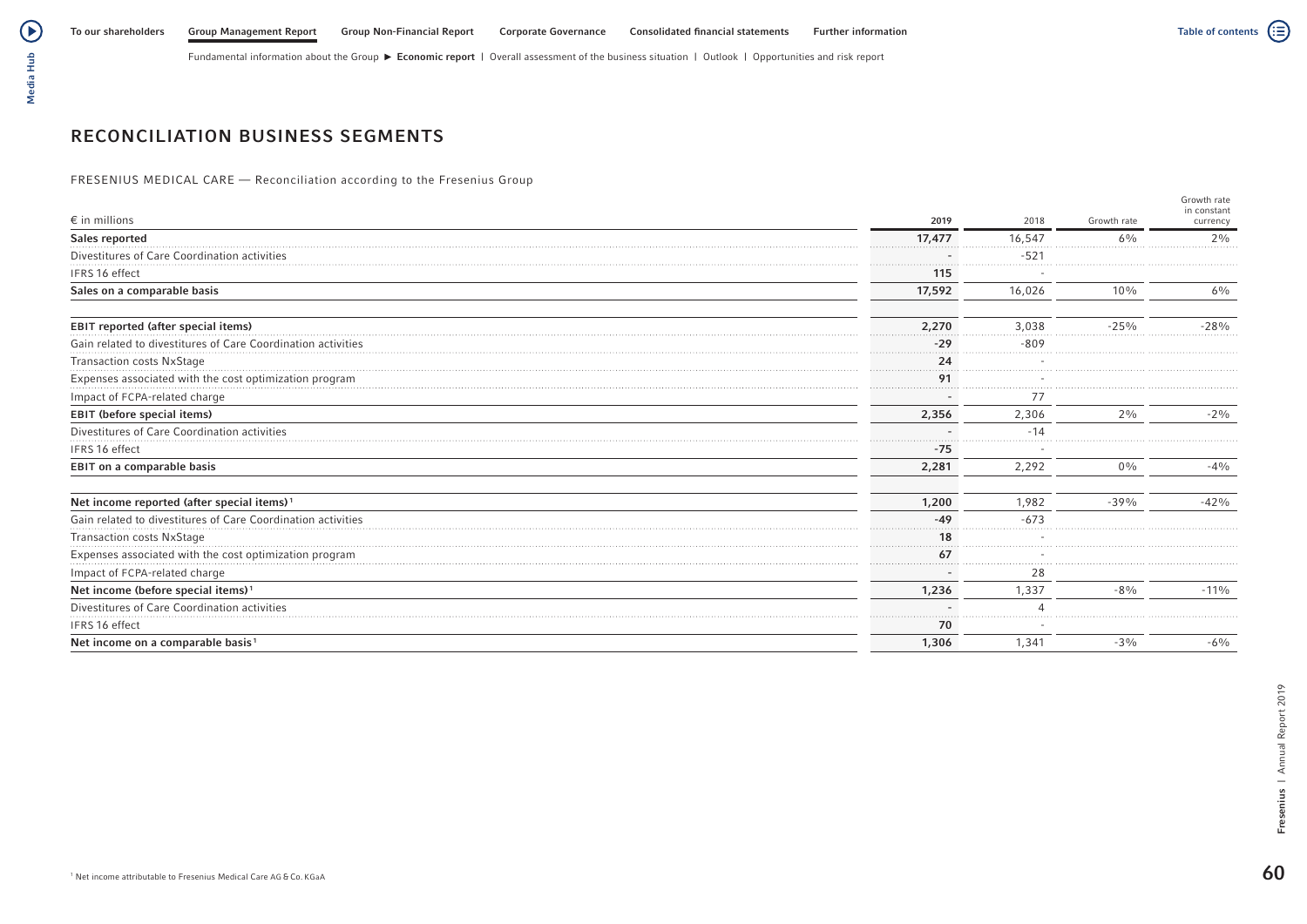# Media Hub Media Hub

# RECONCILIATION BUSINESS SEGMENTS

FRESENIUS MEDICAL CARE — Reconciliation according to the Fresenius Group

|                                                              |        |        |             | Growth rate             |
|--------------------------------------------------------------|--------|--------|-------------|-------------------------|
| $\epsilon$ in millions                                       | 2019   | 2018   | Growth rate | in constant<br>currency |
| Sales reported                                               | 17,477 | 16.547 | $6\%$       | 2%<br>.                 |
| Divestitures of Care Coordination activities                 |        | $-521$ |             |                         |
| IFRS 16 effect                                               | 115    |        |             |                         |
| Sales on a comparable basis                                  | 17,592 | 16,026 | 10%         | $6\%$                   |
| EBIT reported (after special items)                          | 2,270  | 3,038  | $-25%$      | $-28%$                  |
| Gain related to divestitures of Care Coordination activities | $-29$  | $-809$ |             |                         |
| Transaction costs NxStage                                    | 24     |        |             |                         |
| Expenses associated with the cost optimization program       | 91     |        |             |                         |
| Impact of FCPA-related charge                                |        |        |             |                         |
| <b>EBIT (before special items)</b>                           | 2,356  | 2,306  | 2%          | $-2\%$                  |
| Divestitures of Care Coordination activities                 |        | $-14$  |             |                         |
| IFRS 16 effect                                               | $-75$  |        |             |                         |
| EBIT on a comparable basis                                   | 2,281  | 2,292  | $0\%$       | $-4%$                   |
| Net income reported (after special items) <sup>1</sup>       | 1,200  | 1,982  | $-39%$      | $-42%$                  |
| Gain related to divestitures of Care Coordination activities | -49    | $-673$ |             |                         |
| <b>Transaction costs NxStage</b>                             | 18     |        |             |                         |
| Expenses associated with the cost optimization program       |        |        |             |                         |
| Impact of FCPA-related charge                                |        | 28     |             |                         |
| Net income (before special items) <sup>1</sup>               | 1,236  | 1,337  | $-8\%$      | $-11%$                  |
| Divestitures of Care Coordination activities                 |        |        |             |                         |
| IFRS 16 effect                                               | 70     |        |             |                         |
| Net income on a comparable basis <sup>1</sup>                | 1,306  | 1,341  | $-3%$       | $-6\%$                  |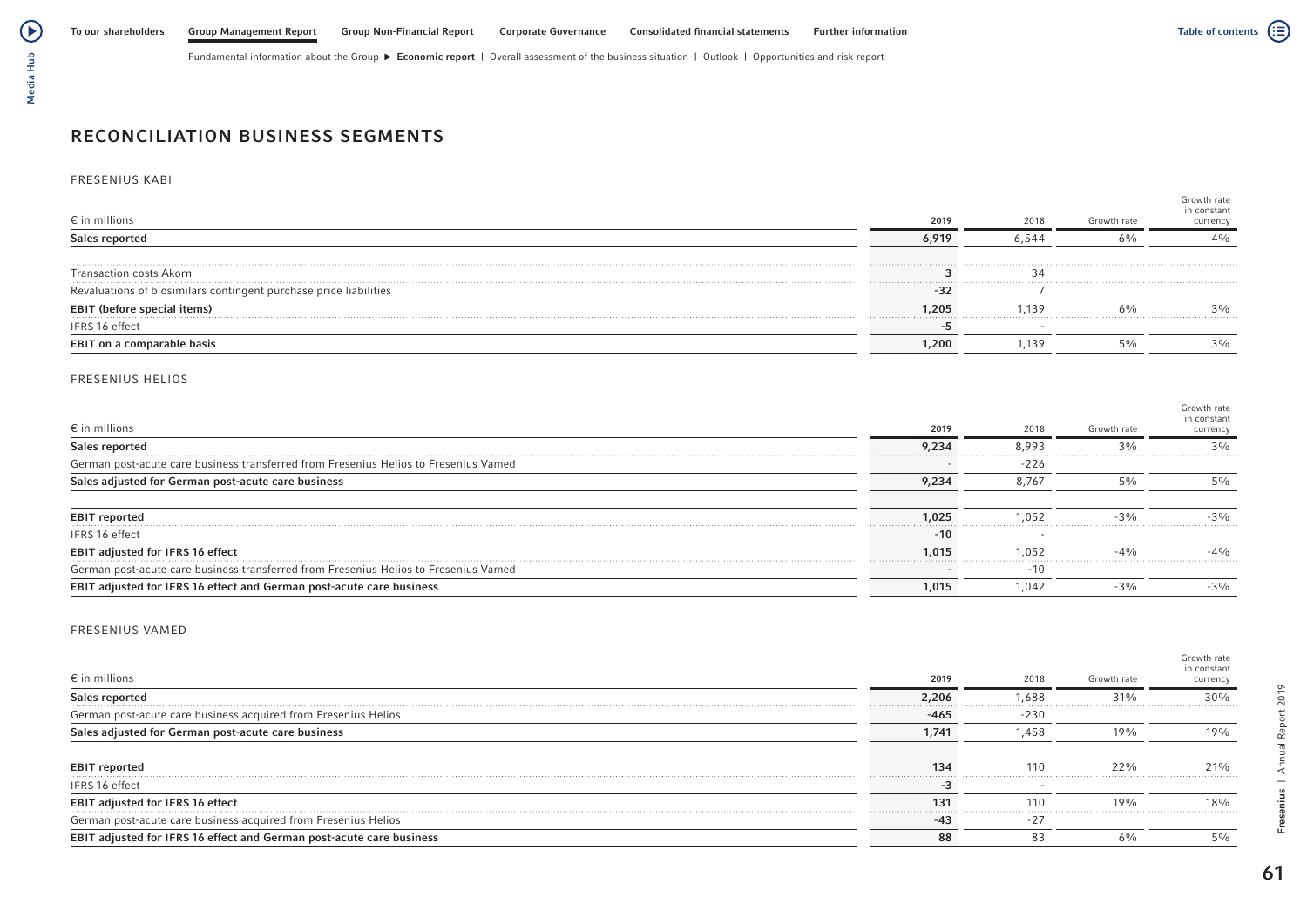

# Media Hub Media Hub

# RECONCILIATION BUSINESS SEGMENTS

### FRESENIUS KABI

| $\epsilon$ in millions                                            | 2019  | 2018  | Growth rate | Growth rate<br>in constant<br>currency |
|-------------------------------------------------------------------|-------|-------|-------------|----------------------------------------|
| Sales reported                                                    | 6,919 | 6.544 | 6%          | $4\%$                                  |
| <b>Transaction costs Akorn</b>                                    |       |       |             |                                        |
| Revaluations of biosimilars contingent purchase price liabilities | -32   |       |             |                                        |
| <b>EBIT (before special items)</b>                                | 1,205 | 1.139 | 6%          | $3\%$                                  |
| IFRS 16 effect                                                    |       |       |             |                                        |
| EBIT on a comparable basis                                        | 1,200 | 1.139 |             | $3\%$                                  |

### FRESENIUS HELIOS

| $\epsilon$ in millions                                                               | 2019  | 2018   | Growth rate | Growth rate<br>in constant<br>currency |
|--------------------------------------------------------------------------------------|-------|--------|-------------|----------------------------------------|
| Sales reported                                                                       | 9.234 | 8.993  | 3%          | $3\%$                                  |
| German post-acute care business transferred from Fresenius Helios to Fresenius Vamed |       | $-226$ |             |                                        |
| Sales adjusted for German post-acute care business                                   | 9.234 | 8.767  | $5\%$       | $5\%$                                  |
|                                                                                      |       |        |             |                                        |
| <b>EBIT reported</b>                                                                 | 1.025 | 1.052  | $-3%$       | $-3%$                                  |
| IFRS 16 effect                                                                       | $-10$ |        |             |                                        |
| EBIT adjusted for IFRS 16 effect                                                     | 1.015 | 1.052  | $-40/6$     | $-40/6$                                |
| German post-acute care business transferred from Fresenius Helios to Fresenius Vamed |       | $-10$  |             |                                        |
| EBIT adjusted for IFRS 16 effect and German post-acute care business                 | 1,015 | 1.042  | $-3%$       | $-3\%$                                 |

### FRESENIUS VAMED

| $\epsilon$ in millions                                               | 2019   | 2018   | Growth rate | Growth rate<br>in constant<br>currency |
|----------------------------------------------------------------------|--------|--------|-------------|----------------------------------------|
| Sales reported                                                       | 2.206  | 588.   | $31\%$      | 30%                                    |
| German post-acute care business acquired from Fresenius Helios       | $-465$ | $-230$ |             |                                        |
| Sales adjusted for German post-acute care business                   | 1.741  | .458   | 19%         | 19%                                    |
|                                                                      |        |        |             |                                        |
| <b>EBIT reported</b>                                                 | 134    | 110    | 22%         | 21%                                    |
| IFRS 16 effect                                                       |        |        |             |                                        |
| EBIT adjusted for IFRS 16 effect                                     | 131    | 110    | 19%         | 18%                                    |
| German post-acute care business acquired from Fresenius Helios       | $-43$  | $-27$  |             |                                        |
| EBIT adjusted for IFRS 16 effect and German post-acute care business | 88     |        | 6%          | $5\%$                                  |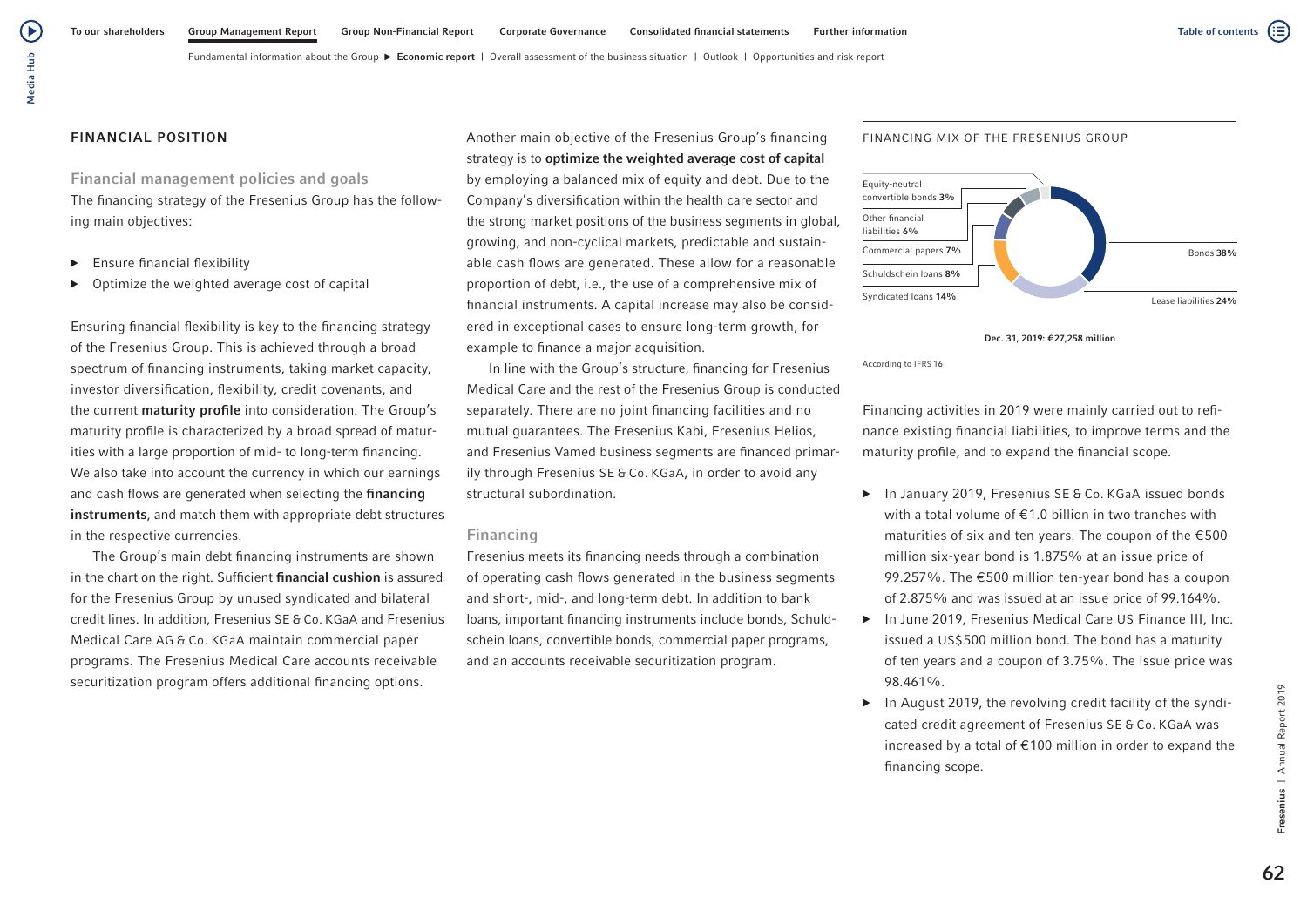$\blacktriangleright$ 

Fundamental information about the Group  $\blacktriangleright$  Economic report | Overall assessment of the business situation | Outlook | Opportunities and risk report

## FINANCIAL POSITION

# Financial management policies and goals

The financing strategy of the Fresenius Group has the following main objectives:

- $\blacktriangleright$  Ensure financial flexibility
- Optimize the weighted average cost of capital

Ensuring financial flexibility is key to the financing strategy of the Fresenius Group. This is achieved through a broad spectrum of financing instruments, taking market capacity, investor diversification, flexibility, credit covenants, and the current maturity profile into consideration. The Group's maturity profile is characterized by a broad spread of maturities with a large proportion of mid- to long-term financing. We also take into account the currency in which our earnings and cash flows are generated when selecting the financing instruments, and match them with appropriate debt structures in the respective currencies.

The Group's main debt financing instruments are shown in the chart on the right. Sufficient financial cushion is assured for the Fresenius Group by unused syndicated and bilateral credit lines. In addition, Fresenius SE & Co. KGaA and Fresenius Medical Care AG & Co. KGaA maintain commercial paper programs. The Fresenius Medical Care accounts receivable securitization program offers additional financing options.

Another main objective of the Fresenius Group's financing strategy is to optimize the weighted average cost of capital by employing a balanced mix of equity and debt. Due to the Company's diversification within the health care sector and the strong market positions of the business segments in global, growing, and non-cyclical markets, predictable and sustainable cash flows are generated. These allow for a reasonable proportion of debt, i.e., the use of a comprehensive mix of financial instruments. A capital increase may also be considered in exceptional cases to ensure long-term growth, for example to finance a major acquisition.

In line with the Group's structure, financing for Fresenius Medical Care and the rest of the Fresenius Group is conducted separately. There are no joint financing facilities and no mutual guarantees. The Fresenius Kabi, Fresenius Helios, and Fresenius Vamed business segments are financed primarily through Fresenius SE & Co. KGaA, in order to avoid any structural subordination.

### Financing

Fresenius meets its financing needs through a combination of operating cash flows generated in the business segments and short-, mid-, and long-term debt. In addition to bank loans, important financing instruments include bonds, Schuldschein loans, convertible bonds, commercial paper programs, and an accounts receivable securitization program.

### FINANCING MIX OF THE FRESENIUS GROUP



Dec. 31, 2019: €27,258 million

According to IFRS 16

Financing activities in 2019 were mainly carried out to refinance existing financial liabilities, to improve terms and the maturity profile, and to expand the financial scope.

- ▶ In January 2019, Fresenius SE & Co. KGaA issued bonds with a total volume of €1.0 billion in two tranches with maturities of six and ten years. The coupon of the €500 million six-year bond is 1.875% at an issue price of 99.257%. The €500 million ten-year bond has a coupon of 2.875% and was issued at an issue price of 99.164%.
- ▶ In June 2019, Fresenius Medical Care US Finance III, Inc. issued a US\$500 million bond. The bond has a maturity of ten years and a coupon of 3.75%. The issue price was 98.461%.
- ▶ In August 2019, the revolving credit facility of the syndicated credit agreement of Fresenius SE & Co. KGaA was increased by a total of €100 million in order to expand the financing scope.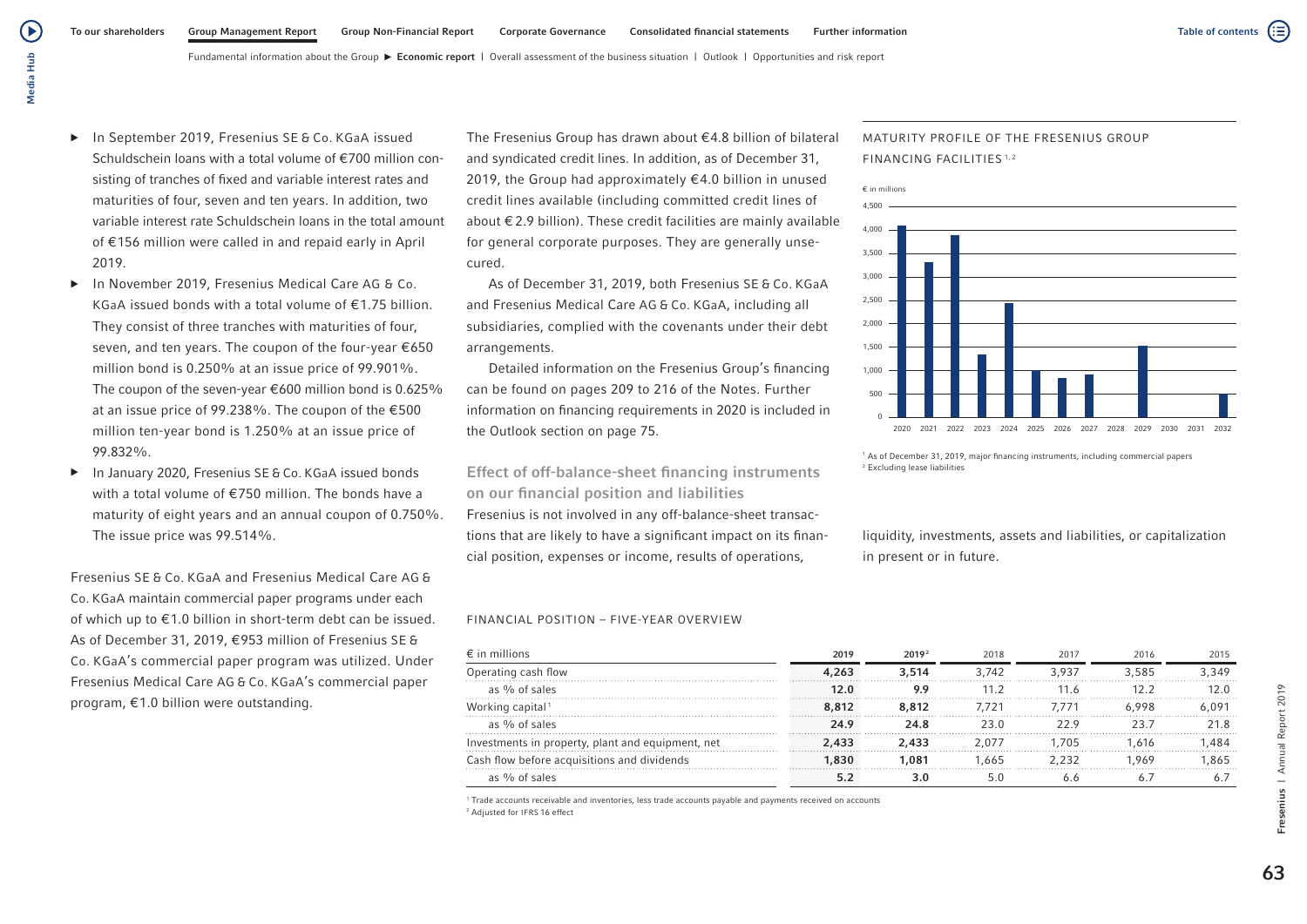- ▶ In September 2019, Fresenius SE & Co. KGaA issued Schuldschein loans with a total volume of €700 million consisting of tranches of fixed and variable interest rates and maturities of four, seven and ten years. In addition, two variable interest rate Schuldschein loans in the total amount of €156 million were called in and repaid early in April 2019.
- ▶ In November 2019, Fresenius Medical Care AG & Co. KGaA issued bonds with a total volume of  $f$  1.75 billion. They consist of three tranches with maturities of four, seven, and ten years. The coupon of the four-year €650 million bond is 0.250% at an issue price of 99.901%. The coupon of the seven-year  $\epsilon$ 600 million bond is 0.625% at an issue price of 99.238%. The coupon of the €500 million ten-year bond is 1.250% at an issue price of 99.832%.
- ▶ In January 2020, Fresenius SE & Co. KGaA issued bonds with a total volume of €750 million. The bonds have a maturity of eight years and an annual coupon of 0.750%. The issue price was 99.514%.

Fresenius SE & Co. KGaA and Fresenius Medical Care AG & Co. KGaA maintain commercial paper programs under each of which up to €1.0 billion in short-term debt can be issued. As of December 31, 2019, €953 million of Fresenius SE & Co. KGaA's commercial paper program was utilized. Under Fresenius Medical Care AG & Co. KGaA's commercial paper program, €1.0 billion were outstanding.

The Fresenius Group has drawn about €4.8 billion of bilateral and syndicated credit lines. In addition, as of December 31, 2019, the Group had approximately €4.0 billion in unused credit lines available (including committed credit lines of about €2.9 billion). These credit facilities are mainly available for general corporate purposes. They are generally unsecured.

As of December 31, 2019, both Fresenius SE & Co. KGaA and Fresenius Medical Care AG & Co. KGaA, including all subsidiaries, complied with the covenants under their debt arrangements.

Detailed information on the Fresenius Group's financing can be found on pages 209 to 216 of the Notes. Further information on financing requirements in 2020 is included in the Outlook section on page 75.

Effect of off-balance-sheet financing instruments on our financial position and liabilities Fresenius is not involved in any off-balance-sheet transactions that are likely to have a significant impact on its financial position, expenses or income, results of operations,

### FINANCIAL POSITION – FIVE-YEAR OVERVIEW

| $\epsilon$ in millions                            | 2019  | 2019 <sup>2</sup> | 2018  | 2017  | 2016  | 2015  |
|---------------------------------------------------|-------|-------------------|-------|-------|-------|-------|
| Operating cash flow                               | 4.263 | 3.514             | 3.742 | 3.937 | 3.585 | 3.349 |
| as % of sales                                     | 12.0  | 9.9               |       | 11.6  | 12 2  |       |
| Working capital <sup>1</sup>                      | 8,812 | 8.812             | 7.721 |       | 6.998 |       |
| as % of sales                                     | 24.9  | 24.8              | 23 U  |       | 23 J  | 21 R  |
| Investments in property, plant and equipment, net | 2,433 | 2.433             | 2 077 | 705   | .616  | 484   |
| Cash flow before acquisitions and dividends       | .830  | 1.081             | .665  | 2 232 | 969   | .865  |
| as % of sales                                     |       |                   |       |       |       |       |

1 Trade accounts receivable and inventories, less trade accounts payable and payments received on accounts 2 Adjusted for IFRS 16 effect

# MATURITY PROFILE OF THE FRESENIUS GROUP FINANCING FACILITIES 1,2



<sup>1</sup> As of December 31, 2019, major financing instruments, including commercial papers 2 Excluding lease liabilities

liquidity, investments, assets and liabilities, or capitalization in present or in future.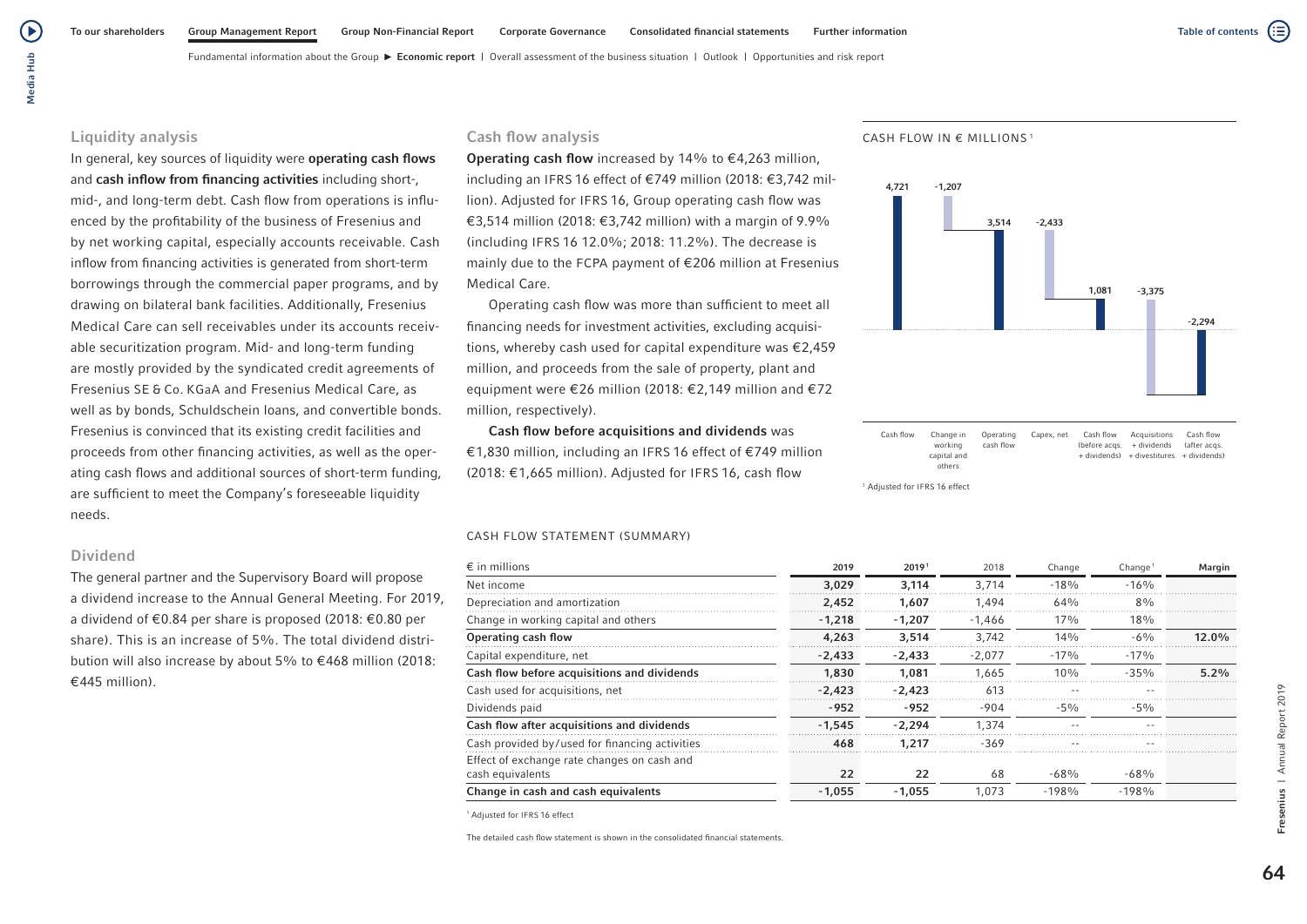(▶

Fundamental information about the Group **Economic report** | Overall assessment of the business situation | Outlook | Opportunities and risk report

## Liquidity analysis

In general, key sources of liquidity were operating cash flows and cash inflow from financing activities including short-, mid-, and long-term debt. Cash flow from operations is influenced by the profitability of the business of Fresenius and by net working capital, especially accounts receivable. Cash inflow from financing activities is generated from short-term borrowings through the commercial paper programs, and by drawing on bilateral bank facilities. Additionally, Fresenius Medical Care can sell receivables under its accounts receivable securitization program. Mid- and long-term funding are mostly provided by the syndicated credit agreements of Fresenius SE & Co. KGaA and Fresenius Medical Care, as well as by bonds, Schuldschein loans, and convertible bonds. Fresenius is convinced that its existing credit facilities and proceeds from other financing activities, as well as the operating cash flows and additional sources of short-term funding, are sufficient to meet the Company's foreseeable liquidity needs.

## Dividend

The general partner and the Supervisory Board will propose a dividend increase to the Annual General Meeting. For 2019, a dividend of €0.84 per share is proposed (2018: €0.80 per share). This is an increase of 5%. The total dividend distribution will also increase by about 5% to €468 million (2018: €445 million).

# Cash flow analysis

**Operating cash flow** increased by 14% to  $\in$  4.263 million. including an IFRS 16 effect of €749 million (2018: €3,742 million). Adjusted for IFRS 16, Group operating cash flow was €3,514 million (2018: €3,742 million) with a margin of 9.9% (including IFRS 16 12.0%; 2018: 11.2%). The decrease is mainly due to the FCPA payment of €206 million at Fresenius Medical Care.

Operating cash flow was more than sufficient to meet all financing needs for investment activities, excluding acquisitions, whereby cash used for capital expenditure was €2,459 million, and proceeds from the sale of property, plant and equipment were €26 million (2018: €2,149 million and €72 million, respectively).

Cash flow before acquisitions and dividends was €1,830 million, including an IFRS 16 effect of €749 million (2018: €1,665 million). Adjusted for IFRS 16, cash flow

### CASH FLOW STATEMENT (SUMMARY)

| $\epsilon$ in millions                         | 2019     | 2019 <sup>1</sup> | 2018     | Change  | Change <sup>1</sup> | Margin   |
|------------------------------------------------|----------|-------------------|----------|---------|---------------------|----------|
| Net income                                     | 3,029    | 3.114             | 3.714    | $-18%$  | $-16%$              |          |
| Depreciation and amortization                  | 2,452    | 1.607             | 1.494    | 64%     | 8%                  |          |
| Change in working capital and others           | $-1,218$ | $-1.207$          | $-1.466$ | 17%     | 18%                 |          |
| Operating cash flow                            | 4,263    | 3,514             | 3.742    | 14%     | $-6\%$              | $12.0\%$ |
| Capital expenditure, net                       | $-2.433$ | $-2.433$          | $-2.077$ | $-17\%$ | $-17%$              |          |
| Cash flow before acquisitions and dividends    | 1,830    | 1,081             | 1.665    | 10%     | $-35%$              | 5.2%     |
| Cash used for acquisitions, net                | $-2.423$ | $-2.423$          | 613      |         |                     |          |
| Dividends paid                                 | $-952$   | $-952$            | $-904$   | $-5%$   | $-5\%$              |          |
| Cash flow after acquisitions and dividends     | $-1.545$ | $-2.294$          | 1.374    |         | $\sim$ $-$          |          |
| Cash provided by/used for financing activities | 468      | 1,217             | $-369$   |         |                     |          |
| Effect of exchange rate changes on cash and    |          |                   |          |         |                     |          |
| cash equivalents                               | 22       | 22                | 68       | $-68%$  | $-68%$              |          |
| Change in cash and cash equivalents            | $-1.055$ | $-1.055$          | 1.073    | $-198%$ | $-198%$             |          |

1 Adjusted for IFRS 16 effect

The detailed cash flow statement is shown in the consolidated financial statements.

#### CASH FLOW IN € MILLIONS <sup>1</sup>



Cash flow Change in working capital and others Operating cash flow Capex, net Cash flow Acquisitions (before acqs. + dividends (after acqs. + dividends) + divestitures + dividends) Cash flow

1 Adjusted for IFRS 16 effect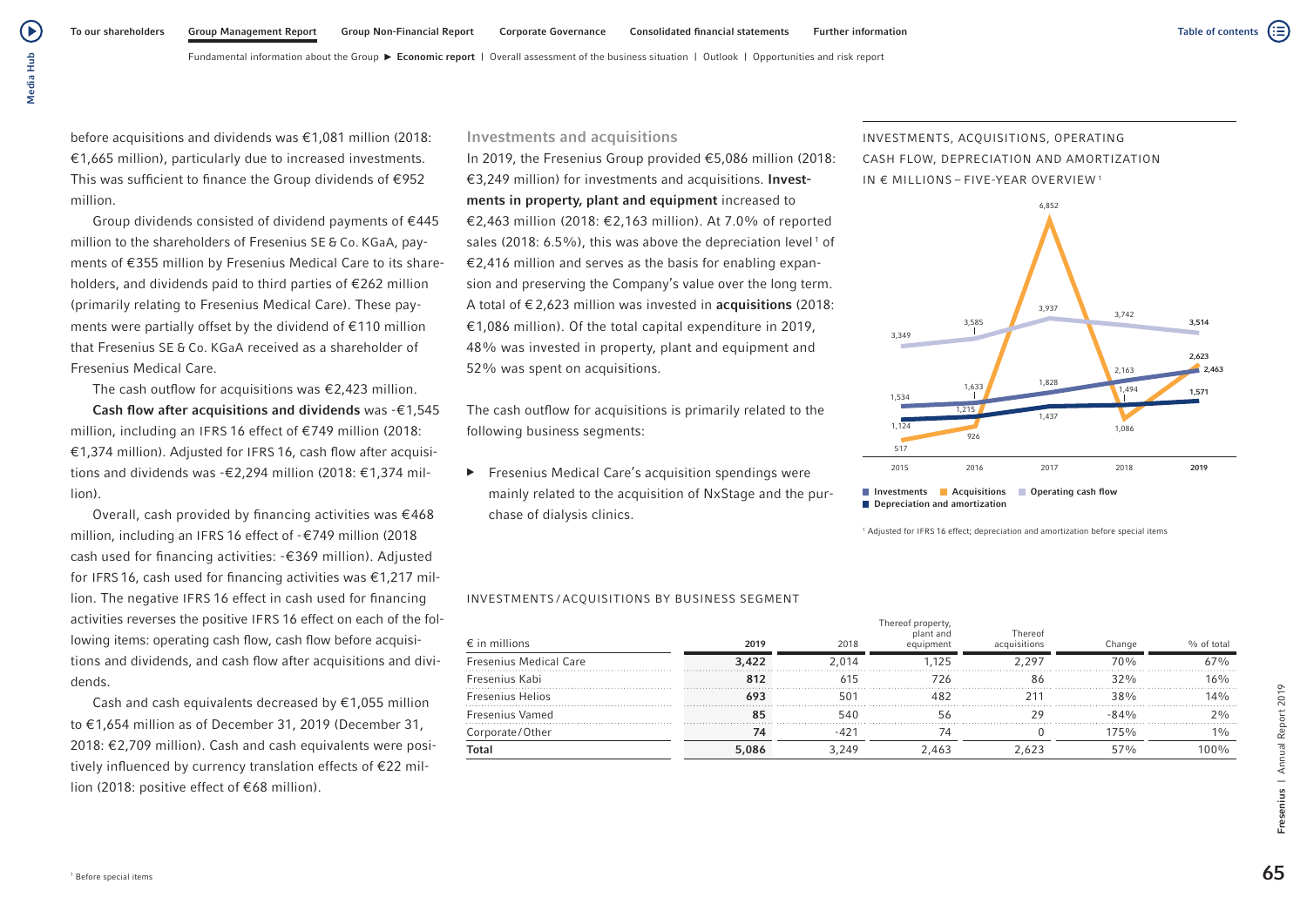(≘)

Fundamental information about the Group  $\blacktriangleright$  Economic report | Overall assessment of the business situation | Outlook | Opportunities and risk report

before acquisitions and dividends was €1,081 million (2018: €1,665 million), particularly due to increased investments. This was sufficient to finance the Group dividends of €952 million.

Group dividends consisted of dividend payments of €445 million to the shareholders of Fresenius SE & Co. KGaA, payments of €355 million by Fresenius Medical Care to its shareholders, and dividends paid to third parties of €262 million (primarily relating to Fresenius Medical Care). These payments were partially offset by the dividend of €110 million that Fresenius SE & Co. KGaA received as a shareholder of Fresenius Medical Care.

The cash outflow for acquisitions was  $\epsilon$ 2,423 million.

Cash flow after acquisitions and dividends was  $-€1,545$ million, including an IFRS 16 effect of €749 million (2018: €1,374 million). Adjusted for IFRS 16, cash flow after acquisitions and dividends was -€2,294 million (2018: €1,374 million).

Overall, cash provided by financing activities was €468 million, including an IFRS 16 effect of -€749 million (2018 cash used for financing activities: -€369 million). Adjusted for IFRS 16, cash used for financing activities was €1,217 million. The negative IFRS 16 effect in cash used for financing activities reverses the positive IFRS 16 effect on each of the following items: operating cash flow, cash flow before acquisitions and dividends, and cash flow after acquisitions and dividends.

Cash and cash equivalents decreased by  $\epsilon$ 1,055 million to €1,654 million as of December 31, 2019 (December 31, 2018: €2,709 million). Cash and cash equivalents were positively influenced by currency translation effects of €22 million (2018: positive effect of €68 million).

## Investments and acquisitions

In 2019, the Fresenius Group provided €5,086 million (2018: €3,249 million) for investments and acquisitions. Investments in property, plant and equipment increased to €2,463 million (2018: €2,163 million). At 7.0% of reported sales (2018: 6.5%), this was above the depreciation level<sup>1</sup> of €2,416 million and serves as the basis for enabling expansion and preserving the Company's value over the long term. A total of  $\epsilon$  2.623 million was invested in **acquisitions** (2018: €1,086 million). Of the total capital expenditure in 2019, 48% was invested in property, plant and equipment and 52% was spent on acquisitions.

The cash outflow for acquisitions is primarily related to the following business segments:

▶ Fresenius Medical Care's acquisition spendings were mainly related to the acquisition of NxStage and the purchase of dialysis clinics.

### INVESTMENTS / ACQUISITIONS BY BUSINESS SEGMENT

| $\epsilon$ in millions        | 2019  | 2018  | Thereof property<br>plant and<br>equipment | Thereof<br>acquisitions | Change          | % of total |
|-------------------------------|-------|-------|--------------------------------------------|-------------------------|-----------------|------------|
| <b>Fresenius Medical Care</b> | 3,422 | 2 014 | .125                                       | 2 297                   | 70 <sub>%</sub> | 67%        |
| Fresenius Kabi                |       |       | '76                                        | 86                      | 320/6           | 16%        |
| <b>Fresenius Helios</b>       | 693   | 501   |                                            |                         | 38%             | 14%        |
| <b>Fresenius Vamed</b>        | 85    | 540   |                                            | 79                      | 84%             |            |
| Corporate/Other               |       |       |                                            |                         | 175%            |            |
| <b>Total</b>                  | 5,086 | 3.249 | 2.463                                      | 623                     | $57\%$          | 100%       |

INVESTMENTS, ACQUISITIONS, OPERATING CASH FLOW, DEPRECIATION AND AMORTIZATION IN € MILLIONS – FIVE-YEAR OVERVIEW <sup>1</sup>



**Investments Acquisitions Operating cash flow** Depreciation and amortization

1 Adjusted for IFRS 16 effect; depreciation and amortization before special items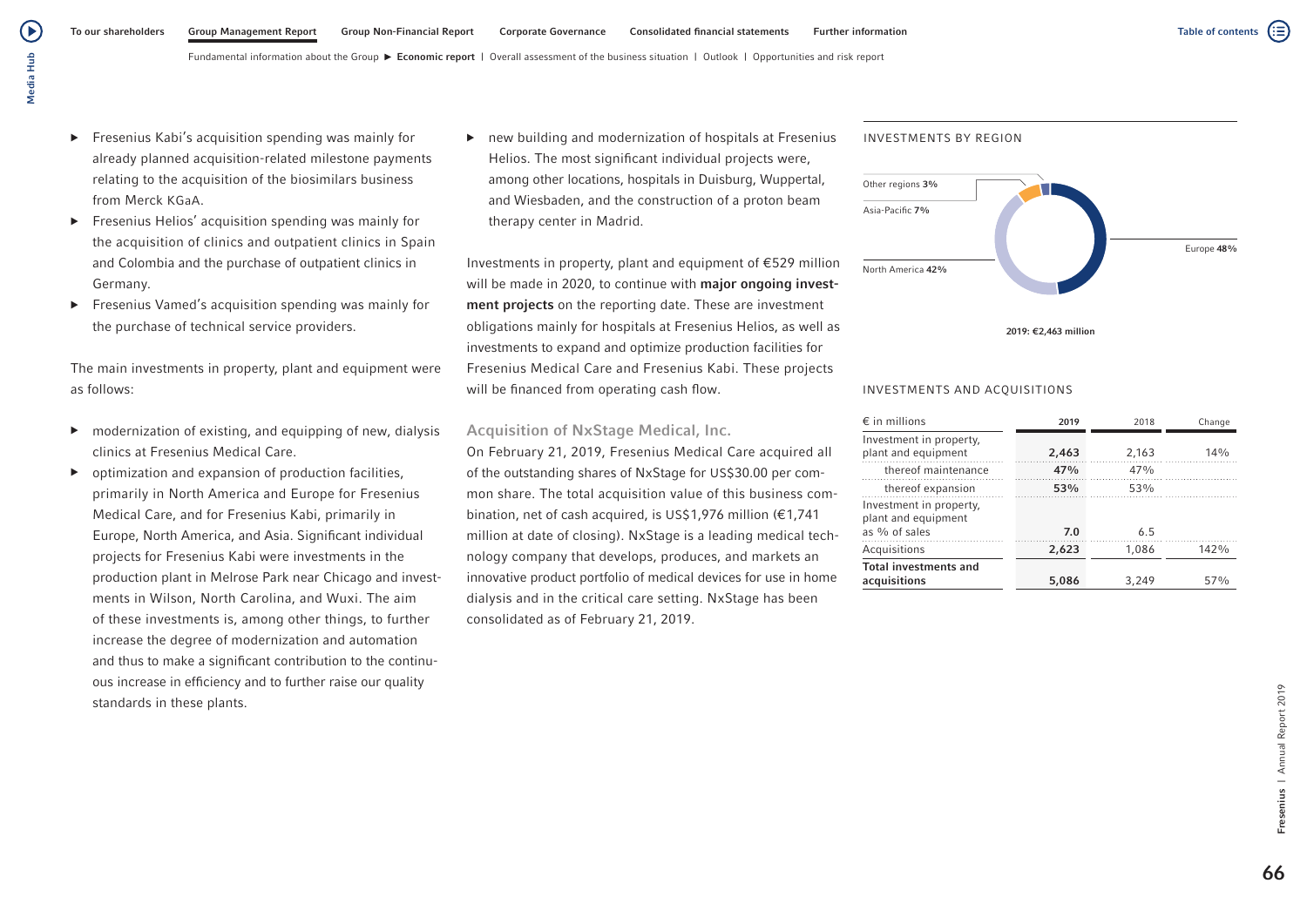▶ Fresenius Kabi's acquisition spending was mainly for already planned acquisition-related milestone payments relating to the acquisition of the biosimilars business from Merck KGaA.

Media Hub

Media Hub

(▶

- ▶ Fresenius Helios' acquisition spending was mainly for the acquisition of clinics and outpatient clinics in Spain and Colombia and the purchase of outpatient clinics in Germany.
- ▶ Fresenius Vamed's acquisition spending was mainly for the purchase of technical service providers.

The main investments in property, plant and equipment were as follows:

- ▶ modernization of existing, and equipping of new, dialysis clinics at Fresenius Medical Care.
- ▶ optimization and expansion of production facilities, primarily in North America and Europe for Fresenius Medical Care, and for Fresenius Kabi, primarily in Europe, North America, and Asia. Significant individual projects for Fresenius Kabi were investments in the production plant in Melrose Park near Chicago and investments in Wilson, North Carolina, and Wuxi. The aim of these investments is, among other things, to further increase the degree of modernization and automation and thus to make a significant contribution to the continuous increase in efficiency and to further raise our quality standards in these plants.

▶ new building and modernization of hospitals at Fresenius Helios. The most significant individual projects were, among other locations, hospitals in Duisburg, Wuppertal, and Wiesbaden, and the construction of a proton beam therapy center in Madrid.

Investments in property, plant and equipment of €529 million will be made in 2020, to continue with major ongoing investment projects on the reporting date. These are investment obligations mainly for hospitals at Fresenius Helios, as well as investments to expand and optimize production facilities for Fresenius Medical Care and Fresenius Kabi. These projects will be financed from operating cash flow.

## Acquisition of NxStage Medical, Inc.

On February 21, 2019, Fresenius Medical Care acquired all of the outstanding shares of NxStage for US\$30.00 per common share. The total acquisition value of this business combination, net of cash acquired, is US\$1,976 million (€1,741 million at date of closing). NxStage is a leading medical technology company that develops, produces, and markets an innovative product portfolio of medical devices for use in home dialysis and in the critical care setting. NxStage has been consolidated as of February 21, 2019.

# INVESTMENTS BY REGION



### 2019: €2,463 million

### INVESTMENTS AND ACQUISITIONS

| $\epsilon$ in millions                                          | 2019  | 2018  | Change |
|-----------------------------------------------------------------|-------|-------|--------|
| Investment in property,<br>plant and equipment                  | 2,463 | 2,163 | 14%    |
| thereof maintenance                                             | 47%   | 47%   |        |
| thereof expansion                                               | 53%   | 53%   |        |
| Investment in property,<br>plant and equipment<br>as % of sales | 7.0   | 6.5   |        |
| Acquisitions                                                    | 2,623 | 1,086 | 142%   |
| <b>Total investments and</b><br>acquisitions                    | 5,086 | 3,249 | 57%    |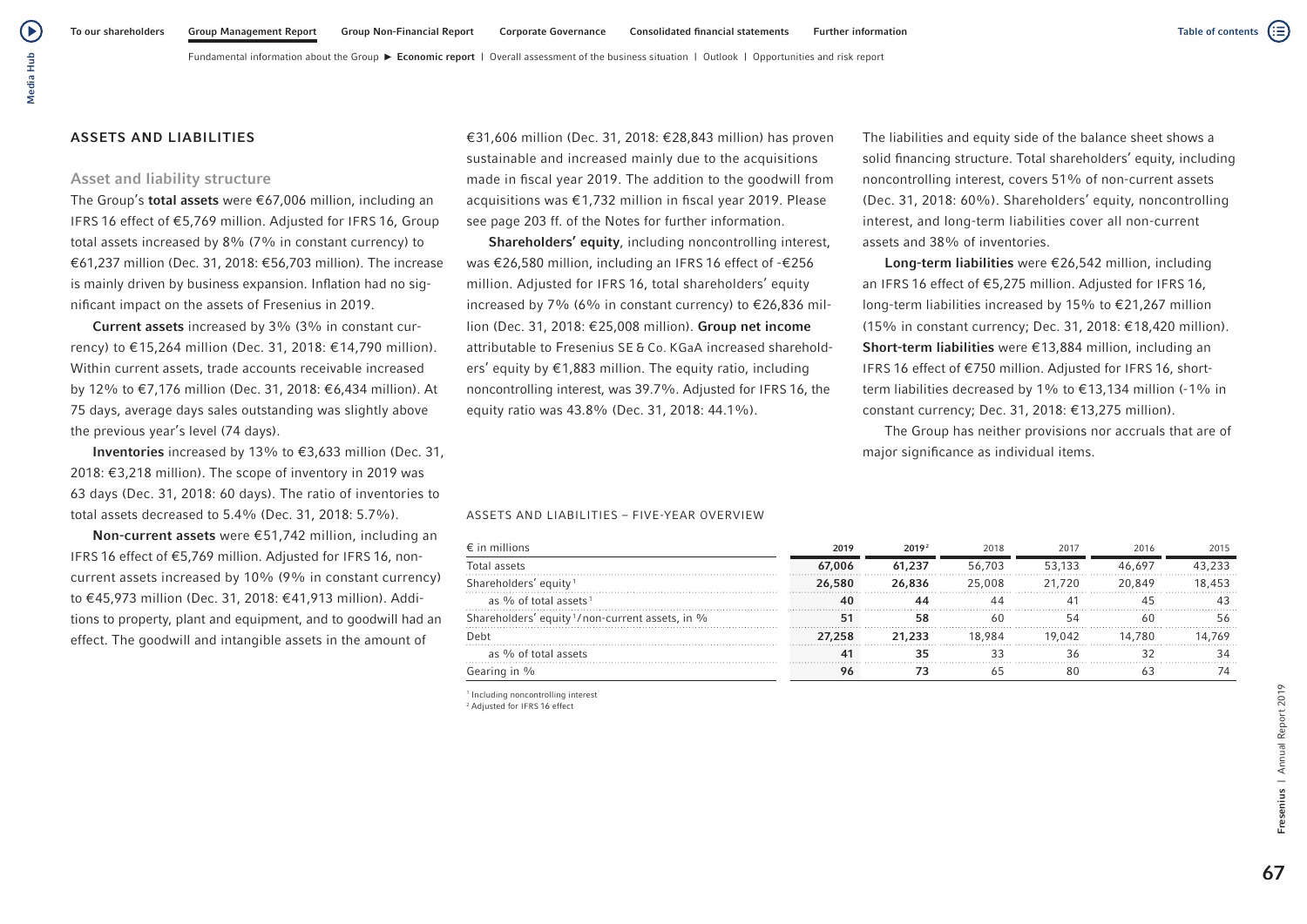(▶

Fundamental information about the Group  $\blacktriangleright$  Economic report | Overall assessment of the business situation | Outlook | Opportunities and risk report

## ASSETS AND LIABILITIES

## Asset and liability structure

The Group's total assets were €67,006 million, including an IFRS 16 effect of €5,769 million. Adjusted for IFRS 16, Group total assets increased by 8% (7% in constant currency) to €61,237 million (Dec. 31, 2018: €56,703 million). The increase is mainly driven by business expansion. Inflation had no significant impact on the assets of Fresenius in 2019.

Current assets increased by 3% (3% in constant currency) to €15,264 million (Dec. 31, 2018: €14,790 million). Within current assets, trade accounts receivable increased by 12% to €7,176 million (Dec. 31, 2018: €6,434 million). At 75 days, average days sales outstanding was slightly above the previous year's level (74 days).

Inventories increased by 13% to €3,633 million (Dec. 31, 2018: €3,218 million). The scope of inventory in 2019 was 63 days (Dec. 31, 2018: 60 days). The ratio of inventories to total assets decreased to 5.4% (Dec. 31, 2018: 5.7%).

Non-current assets were €51,742 million, including an IFRS 16 effect of €5,769 million. Adjusted for IFRS 16, noncurrent assets increased by 10% (9% in constant currency) to €45,973 million (Dec. 31, 2018: €41,913 million). Additions to property, plant and equipment, and to goodwill had an effect. The goodwill and intangible assets in the amount of

€31,606 million (Dec. 31, 2018: €28,843 million) has proven sustainable and increased mainly due to the acquisitions made in fiscal year 2019. The addition to the goodwill from acquisitions was €1,732 million in fiscal year 2019. Please see page 203 ff. of the Notes for further information.

Shareholders' equity, including noncontrolling interest, was €26,580 million, including an IFRS 16 effect of -€256 million. Adjusted for IFRS 16, total shareholders' equity increased by 7% (6% in constant currency) to  $\epsilon$ 26.836 million (Dec. 31, 2018: €25,008 million). Group net income attributable to Fresenius SE & Co. KGaA increased shareholders' equity by €1,883 million. The equity ratio, including noncontrolling interest, was 39.7%. Adjusted for IFRS 16, the equity ratio was 43.8% (Dec. 31, 2018: 44.1%).

The liabilities and equity side of the balance sheet shows a solid financing structure. Total shareholders' equity, including noncontrolling interest, covers 51% of non-current assets (Dec. 31, 2018: 60%). Shareholders' equity, noncontrolling interest, and long-term liabilities cover all non-current assets and 38% of inventories.

Long-term liabilities were €26,542 million, including an IFRS 16 effect of €5,275 million. Adjusted for IFRS 16, long-term liabilities increased by 15% to €21,267 million (15% in constant currency; Dec. 31, 2018: €18,420 million). Short-term liabilities were €13,884 million, including an IFRS 16 effect of €750 million. Adjusted for IFRS 16, shortterm liabilities decreased by 1% to  $\epsilon$ 13,134 million (-1% in constant currency; Dec. 31, 2018: €13,275 million).

The Group has neither provisions nor accruals that are of major significance as individual items.

### ASSETS AND LIABILITIES – FIVE-YEAR OVERVIEW

| $\epsilon$ in millions                                      | 2019   | 2019 <sup>2</sup> | 2018   | 2017   | 2016   | 2015   |
|-------------------------------------------------------------|--------|-------------------|--------|--------|--------|--------|
| Total assets                                                | 67,006 | 61,237            | 56,703 | 53.133 | 46.697 | 43 233 |
| Shareholders' equity <sup>1</sup>                           | 26,580 | 26,836            | 25,008 | 21.720 | 20849  | 18.453 |
| as % of total assets <sup>1</sup>                           |        |                   | ΔΔ     |        |        |        |
| Shareholders' equity <sup>1</sup> /non-current assets, in % | 51     | 58                | 60     |        |        | 5f     |
| Debt                                                        | 27.258 | 21.233            | 18.984 | 19.042 | 14.780 | 14.769 |
| as % of total assets                                        | 41     |                   |        |        |        |        |
| Gearing in %                                                |        |                   |        | 80     |        |        |

1 Including noncontrolling interest 2 Adjusted for IFRS 16 effect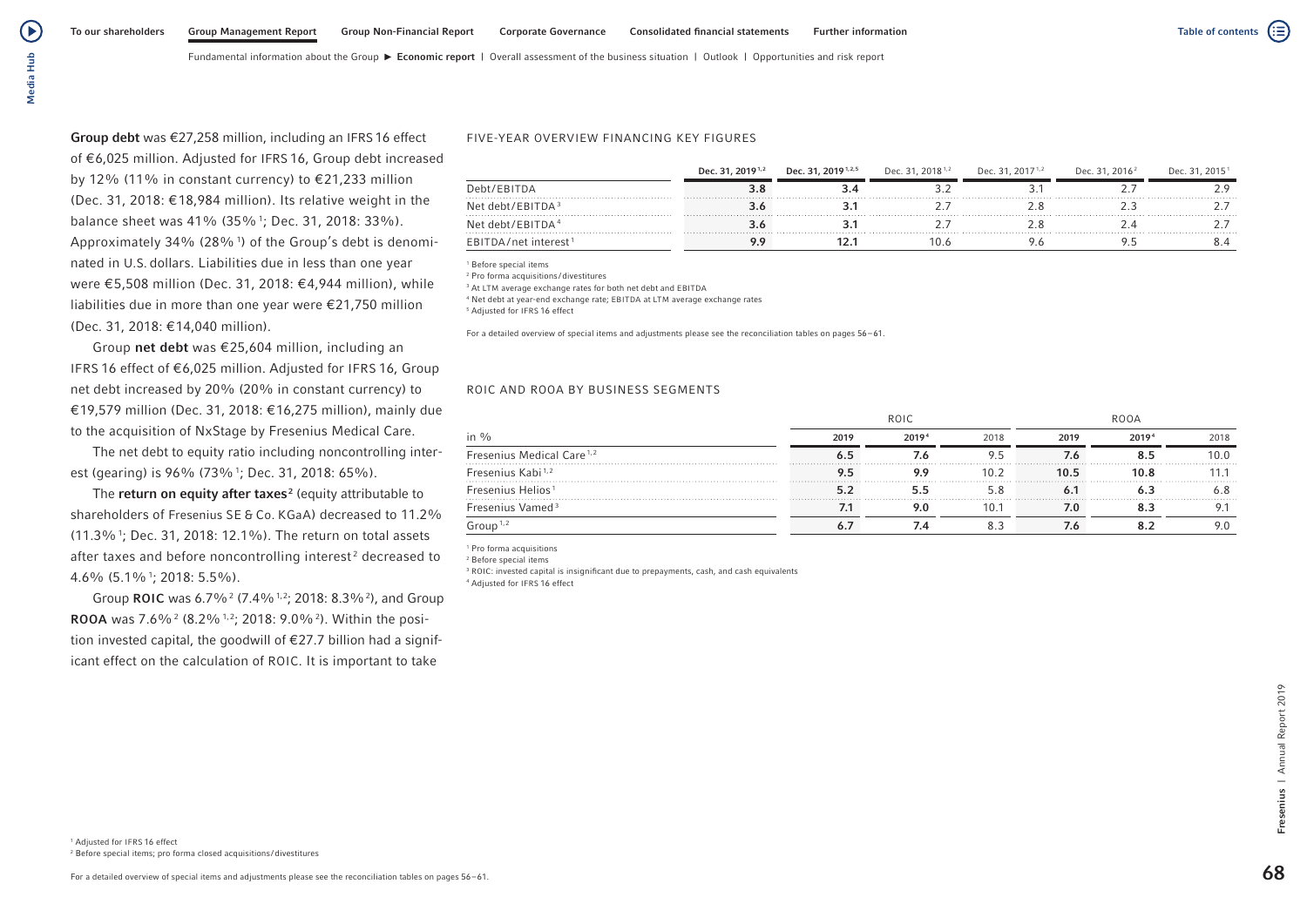Media Hub Media Hub

 $\left( \blacktriangleright \right)$ 

Group debt was €27,258 million, including an IFRS 16 effect of €6,025 million. Adjusted for IFRS 16, Group debt increased by 12% (11% in constant currency) to €21,233 million (Dec. 31, 2018: €18,984 million). Its relative weight in the balance sheet was 41% (35%<sup>1</sup>; Dec. 31, 2018: 33%). Approximately 34% (28%1 ) of the Group's debt is denominated in U.S. dollars. Liabilities due in less than one year were €5,508 million (Dec. 31, 2018: €4,944 million), while liabilities due in more than one year were €21,750 million (Dec. 31, 2018: €14,040 million).

Group net debt was €25,604 million, including an IFRS 16 effect of €6,025 million. Adjusted for IFRS 16, Group net debt increased by 20% (20% in constant currency) to €19,579 million (Dec. 31, 2018: €16,275 million), mainly due to the acquisition of NxStage by Fresenius Medical Care.

The net debt to equity ratio including noncontrolling interest (gearing) is 96% (73%1 ; Dec. 31, 2018: 65%).

The return on equity after taxes<sup>2</sup> (equity attributable to shareholders of Fresenius SE & Co. KGaA) decreased to 11.2%  $(11.3\%$ <sup>1</sup>; Dec. 31, 2018: 12.1%). The return on total assets after taxes and before noncontrolling interest<sup>2</sup> decreased to 4.6% (5.1%1 ; 2018: 5.5%).

Group ROIC was  $6.7\%$ <sup>2</sup> (7.4%<sup>1,2</sup>; 2018: 8.3%<sup>2</sup>), and Group **ROOA** was 7.6%<sup>2</sup> (8.2%<sup>1,2</sup>; 2018: 9.0%<sup>2</sup>). Within the position invested capital, the goodwill of €27.7 billion had a significant effect on the calculation of ROIC. It is important to take

### FIVE-YEAR OVERVIEW FINANCING KEY FIGURES

|                                    | Dec. 31, 2019 <sup>1,2</sup> | Dec. 31, 2019 <sup>1,2,5</sup> | Dec. 31, 2018 <sup>1,2</sup> | Dec. 31, 2017 <sup>1,2</sup> | Dec. 31, 2016 <sup>2</sup> | Dec. 31, 2015 <sup>1</sup> |
|------------------------------------|------------------------------|--------------------------------|------------------------------|------------------------------|----------------------------|----------------------------|
| Debt/EBITDA                        |                              |                                |                              |                              |                            |                            |
| Net debt/EBITDA $3$                |                              |                                |                              |                              |                            |                            |
| Net debt/EBITDA <sup>4</sup>       |                              |                                |                              |                              |                            |                            |
| $EBITDA/net$ interest <sup>1</sup> |                              |                                |                              |                              |                            |                            |

<sup>1</sup> Before special items

<sup>2</sup> Pro forma acquisitions /divestitures

<sup>3</sup> At LTM average exchange rates for both net debt and EBITDA

<sup>4</sup> Net debt at year-end exchange rate; EBITDA at LTM average exchange rates

5 Adjusted for IFRS 16 effect

For a detailed overview of special items and adjustments please see the reconciliation tables on pages 56–61.

#### ROIC AND ROOA BY BUSINESS SEGMENTS

|                                       | ROIC |       |      | ROOA |       |      |
|---------------------------------------|------|-------|------|------|-------|------|
| in %                                  | 2019 | 20194 | 2018 | 2019 | 20194 | 2018 |
| Fresenius Medical Care <sup>1,2</sup> |      |       |      |      |       | 10.0 |
| Fresenius Kabi <sup>1,2</sup>         |      |       | 10.2 |      |       |      |
| Fresenius Helios <sup>1</sup>         |      |       |      |      |       |      |
| Fresenius Vamed <sup>3</sup>          |      |       | 10.1 |      |       |      |
| $\frac{1}{2}$ roup <sup>1,2</sup>     |      |       |      |      |       |      |

1 Pro forma acquisitions

2 Before special items

<sup>3</sup> ROIC: invested capital is insignificant due to prepayments, cash, and cash equivalents 4 Adjusted for IFRS 16 effect